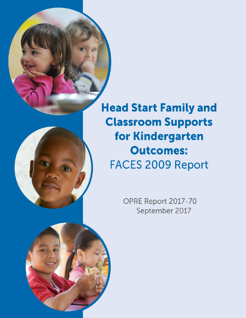

**Head Start Family and Classroom Supports** for Kindergarten **Outcomes: FACES 2009 Report** 

> OPRE Report 2017-70 September 2017

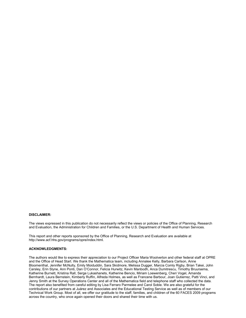#### **DISCLAIMER:**

The views expressed in this publication do not necessarily reflect the views or policies of the Office of Planning, Research and Evaluation, the Administration for Children and Families, or the U.S. Department of Health and Human Services.

This report and other reports sponsored by the Office of Planning, Research and Evaluation are available at http://www.acf.hhs.gov/programs/opre/index.html.

#### **ACKNOWLEDGMENTS:**

The authors would like to express their appreciation to our Project Officer Maria Woolverton and other federal staff at OPRE and the Office of Head Start. We thank the Mathematica team, including Annalee Kelly, Barbara Carlson, Anne Bloomenthal, Jennifer McNulty, Emily Moiduddin, Sara Skidmore, Melissa Dugger, Marcia Comly Rigby, Brian Takei, John Carsley, Erin Slyne, Ann Ponti, Dan O'Connor, Felicia Hurwitz, Kevin Manbodh, Anca Dumitrescu, Timothy Bruursema, Katherine Burnett, Kristina Rall, Serge Lukashanets, Katherine Bencio, Miriam Loewenberg, Cheri Vogel, Amanda Bernhardt, Laura Bernstein, Kimberly Ruffin, Alfreda Holmes, as well as Francene Barbour, Joan Gutierrez, Patti Vinci, and Jenny Smith at the Survey Operations Center and all of the Mathematica field and telephone staff who collected the data. The report also benefited from careful editing by Lisa Ferraro Parmelee and Carol Soble. We are also grateful for the contributions of our partners at Juárez and Associates and the Educational Testing Service as well as of members of our Technical Work Group. Most of all, we offer our gratitude to the staff, families, and children of the 60 FACES 2009 programs across the country, who once again opened their doors and shared their time with us.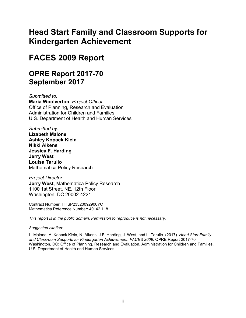# **Head Start Family and Classroom Supports for Kindergarten Achievement**

# **FACES 2009 Report**

# **OPRE Report 2017-70 September 2017**

*Submitted to:* **Maria Woolverton**, *Project Officer* Office of Planning, Research and Evaluation Administration for Children and Families U.S. Department of Health and Human Services

*Submitted by:* **Lizabeth Malone Ashley Kopack Klein Nikki Aikens Jessica F. Harding Jerry West Louisa Tarullo** Mathematica Policy Research

*Project Director:*  **Jerry West**, Mathematica Policy Research 1100 1st Street, NE, 12th Floor Washington, DC 20002-4221

Contract Number: HHSP23320092900YC Mathematica Reference Number: 40142.118

*This report is in the public domain. Permission to reproduce is not necessary.*

# *Suggested citation:*

L. Malone, A. Kopack Klein, N. Aikens, J.F. Harding, J. West, and L. Tarullo. (2017). *Head Start Family and Classroom Supports for Kindergarten Achievement: FACES 2009.* OPRE Report 2017-70. Washington, DC: Office of Planning, Research and Evaluation, Administration for Children and Families, U.S. Department of Health and Human Services.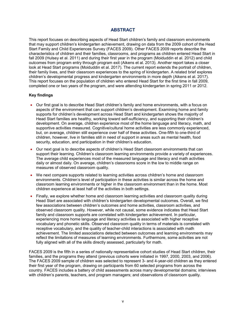# **ABSTRACT**

This report focuses on describing aspects of Head Start children's family and classroom environments that may support children's kindergarten achievement, drawing on data from the 2009 cohort of the Head Start Family and Child Experiences Survey (FACES 2009). Other FACES 2009 reports describe the characteristics of children and their families, classrooms, and programs as children entered Head Start in fall 2009 (Hulsey et al. 2011) and during their first year in the program (Moiduddin et al. 2012) and child outcomes from program entry through program exit (Aikens et al. 2013). Another report takes a closer look at Head Start programs (Moiduddin et al. 2017). The current report extends the portrait of children, their family lives, and their classroom experiences to the spring of kindergarten. A related brief explores children's developmental progress and kindergarten environments in more depth (Aikens et al. 2017). This report focuses on the population of children who entered Head Start for the first time in fall 2009, completed one or two years of the program, and were attending kindergarten in spring 2011 or 2012.

## **Key findings**

- Our first goal is to describe Head Start children's family and home environments, with a focus on aspects of the environment that can support children's development. Examining home and family supports for children's development across Head Start and kindergarten shows the majority of Head Start families are healthy, working toward self-sufficiency, and supporting their children's development. On average, children experience most of the home language and literacy, math, and supportive activities measured. Cognitive/cultural home activities are less commonly experienced, but, on average, children still experience over half of these activities. One-fifth to one-third of children, however, live in families still in need of support in areas such as mental health, food security, education, and participation in their children's education.
- Our next goal is to describe aspects of children's Head Start classroom environments that can support their learning. Children's classroom learning environments provide a variety of experiences. The average child experiences most of the measured language and literacy and math activities daily or almost daily. On average, children's classrooms score in the low to middle range on measures of observed classroom quality.
- We next compare supports related to learning activities across children's home and classroom environments. Children's level of participation in these activities is similar across the home and classroom learning environments or higher in the classroom environment than in the home. Most children experience at least half of the activities in both settings.
- Finally, we explore whether home and classroom learning activities and classroom quality during Head Start are associated with children's kindergarten developmental outcomes. Overall, we find few associations between children's outcomes and home activities, classroom activities, and observed classroom quality. However, while not causal, some evidence indicates that Head Start family and classroom supports are correlated with kindergarten achievement. In particular, experiencing more home language and literacy activities is associated with higher receptive vocabulary and phonetic skills. Observed classroom quality in terms of materials is correlated with receptive vocabulary, and the quality of teacher-child interactions is associated with math achievement. The limited associations detected between outcomes and learning environments may reflect the limitations of measures of learning environments. Furthermore, some activities are not fully aligned with all of the skills directly assessed, particularly for math.

FACES 2009 is the fifth in a series of nationally representative cohort studies of Head Start children, their families, and the programs they attend (previous cohorts were initiated in 1997, 2000, 2003, and 2006). The FACES 2009 sample of children was selected to represent 3- and 4-year-old children as they entered their first year of the program, drawing on participants from 60 selected programs from across the country. FACES includes a battery of child assessments across many developmental domains; interviews with children's parents, teachers, and program managers; and observations of classroom quality.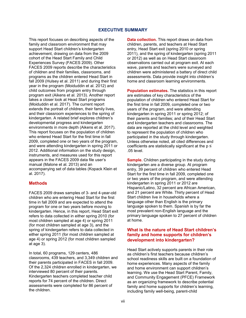# **EXECUTIVE SUMMARY**

This report focuses on describing aspects of the family and classroom environment that may support Head Start children's kindergarten achievement, drawing on data from the 2009 cohort of the Head Start Family and Child Experiences Survey (FACES 2009). Other FACES 2009 reports describe the characteristics of children and their families, classrooms, and programs as the children entered Head Start in fall 2009 (Hulsey et al. 2011) and during their first year in the program (Moiduddin et al. 2012) and child outcomes from program entry through program exit (Aikens et al. 2013). Another report takes a closer look at Head Start programs (Moiduddin et al. 2017). The current report extends the portrait of children, their family lives, and their classroom experiences to the spring of kindergarten. A related brief explores children's developmental progress and kindergarten environments in more depth (Aikens et al. 2017). This report focuses on the population of children who entered Head Start for the first time in fall 2009, completed one or two years of the program, and were attending kindergarten in spring 2011 or 2012. Additional information on the study design, instruments, and measures used for this report appears in the FACES 2009 data file user's manual (Malone et al. 2013) and an accompanying set of data tables (Kopack Klein et al. 2017).

# **Methods**

FACES 2009 draws samples of 3- and 4-year-old children who are entering Head Start for the first time in fall 2009 and are expected to attend the program for one or two years before moving to kindergarten. Hence, in this report, Head Start exit refers to data collected in either spring 2010 (for most children sampled at age 4) or spring 2011 (for most children sampled at age 3), and the spring of kindergarten refers to data collected in either spring 2011 (for most children sampled at age 4) or spring 2012 (for most children sampled at age 3).

In total, 60 programs, 129 centers, 486 classrooms, 439 teachers, and 3,349 children and their parents participated in FACES in fall 2009. Of the 2,324 children enrolled in kindergarten, we interviewed 80 percent of their parents. Kindergarten teachers completed teacher child reports for 74 percent of the children. Direct assessments were completed for 86 percent of the children.

**Data collection.** This report draws on data from children, parents, and teachers at Head Start entry, Head Start exit (spring 2010 or spring 2011), and the spring of kindergarten (spring 2011 or 2012) as well as on Head Start classroom observations carried out at program exit. At each wave, parents and teachers were surveyed and children were administered a battery of direct child assessments. Data provide insight into children's home and classroom learning environments.

**Population estimates.** The statistics in this report are estimates of key characteristics of the population of children who entered Head Start for the first time in fall 2009, completed one or two years of the program, and were attending kindergarten in spring 2011 or spring 2012; of their parents and families; and of their Head Start and kindergarten teachers and classrooms. The data are reported at the child level and weighted to represent the population of children who participated in the study through kindergarten. Unless otherwise noted, all cited differences and coefficients are statistically significant at the  $p \leq$ .05 level.

**Sample.** Children participating in the study during kindergarten are a diverse group. At program entry, 39 percent of children who entered Head Start for the first time in fall 2009, completed one or two years of the program, and were attending kindergarten in spring 2011 or 2012 are Hispanic/Latino, 32 percent are African American, and 21 percent are White. Thirty percent of Head Start children live in households where a language other than English is the primary language spoken to them. Spanish is by far the most prevalent non-English language and the primary language spoken to 27 percent of children at home.

# **What is the nature of Head Start children's family and home supports for children's development into kindergarten?**

Head Start actively supports parents in their role as children's first teachers because children's school readiness skills are built on a foundation of home experiences. Many aspects of the family and home environment can support children's learning. We use the Head Start Parent, Family, and Community Engagement (PFCE) Framework as an organizing framework to describe potential family and home supports for children's learning, including family well-being, parent-child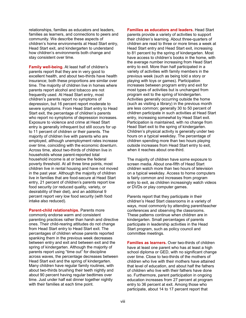relationships, families as educators and leaders, families as learners, and connections to peers and community. We describe these aspects of children's home environments at Head Start entry, Head Start exit, and kindergarten to understand how children's environments both change and stay consistent over time.

**Family well-being.** At least half of children's parents report that they are in very good to excellent health, and about two-thirds have health insurance; both these proportions are similar over time. The majority of children live in homes where parents report alcohol and tobacco are not frequently used. At Head Start entry, most children's parents report no symptoms of depression, but 16 percent report moderate to severe symptoms. From Head Start entry to Head Start exit, the percentage of children's parents who report no symptoms of depression increases. Exposure to violence and crime at Head Start entry is generally infrequent but still occurs for up to 11 percent of children or their parents. The majority of children live with parents who are employed, although unemployment rates increase over time, coinciding with the economic downturn. Across time, about two-thirds of children live in households whose parent-reported total household income is at or below the federal poverty threshold. At all three time points, most children live in rental housing and have not moved in the past year. Although the majority of children live in families that are food-secure at Head Start entry, 21 percent of children's parents report low food security (or reduced quality, variety, or desirability of their diet), and an additional 9 percent report very low food security (with food intake also reduced).

**Parent-child relationships.** Parents more commonly endorse warm and consistent parenting practices rather than harsh and directive ones. Their child-rearing attitudes do not change from Head Start entry to Head Start exit. The percentages of children whose parents reported spanking them in the previous week decreases between entry and exit and between exit and the spring of kindergarten. Although the majority of parents report using "time out" for discipline across waves, the percentage decreases between Head Start exit and the spring of kindergarten. Many children have regular family routines, with about two-thirds brushing their teeth nightly and about 90 percent having regular bedtimes over time. Just under half eat dinner together nightly with their families at each time point.

**Families as educators and leaders.** Head Start parents provide a variety of activities to support their children's learning. About three-quarters of children are read to three or more times a week at Head Start entry and Head Start exit, increasing to 81 percent by the spring of kindergarten. Most have access to children's books in the home, with the average number increasing from Head Start entry to exit. More than half participated in a variety of activities with family members in the previous week (such as being told a story or playing with toys or games). Participation increases between program entry and exit for most types of activities but is unchanged from program exit to the spring of kindergarten. Activities generally occurring outside the home (such as visiting a library) in the previous month are less common; generally 30 to 50 percent of children participate in such activities at Head Start entry, increasing somewhat by Head Start exit. Participation is maintained, with no change from Head Start exit to the spring of kindergarten. Children's physical activity is generally under two hours on a typical weekday. The percentage of children spending more than two hours playing outside increases from Head Start entry to exit, when it reaches about one-third.

The majority of children have some exposure to screen media. About one-fifth of Head Start children watch more than two hours of television on a typical weekday. Access to home computers is fairly common and increases from program entry to exit, as children increasingly watch videos or DVDs or play computer games.

Parents report that they participate in their children's Head Start classrooms in a variety of ways, most commonly by attending parent/teacher conferences and observing the classrooms. These patterns continue when children are in kindergarten. Small percentages of parents participate in leadership activities in the Head Start program, such as policy council and committee meetings.

**Families as learners.** Over two-thirds of children have at least one parent who has at least a high school diploma or GED, with no significant change over time. Close to two-thirds of the mothers of children who live with their mothers have attained that level of education, and about half the fathers of children who live with their fathers have done so. Furthermore, parent participation in ongoing education increases from 27 percent at program entry to 36 percent at exit. Among those who participate, about 14 to 17 percent report that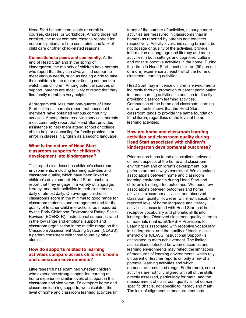Head Start helped them locate or enroll in courses, classes, or workshops. Among those not enrolled, the most common reasons reported for nonparticipation are time constraints and lack of child care or other child-related reasons.

#### **Connections to peers and community.** At the

end of Head Start and in the spring of kindergarten, the majority of children have parents who report that they can always find support to meet various needs, such as finding a ride to take their children to the doctor or finding someone to watch their children. Among potential sources of support, parents are most likely to report that they find family members very helpful.

At program exit, less than one-quarter of Head Start children's parents report that household members have obtained various community services. Among those receiving services, parents most commonly report that Head Start provided assistance to help them attend school or college, obtain help or counseling for family problems, or enroll in classes in English as a second language.

## **What is the nature of Head Start classroom supports for children's development into kindergarten?**

This report also describes children's classroom environments, including learning activities and classroom quality, which have been linked to children's development. Head Start teachers report that they engage in a variety of language, literacy, and math activities in their classrooms daily or almost daily. On average, children's classrooms score in the minimal to good range for classroom materials and arrangement and for the quality of teacher-child interactions, as measured by the Early Childhood Environment Rating Scale-Revised (ECERS-R). Instructional support is rated in the low range and emotional support and classroom organization in the middle range on the Classroom Assessment Scoring System (CLASS), a pattern consistent with those found by other studies.

# **How do supports related to learning activities compare across children's home and classroom environments?**

Little research has examined whether children who experience strong support for learning at home experience similar levels of support in the classroom and vice versa. To compare home and classroom learning supports, we calculated the level of home and classroom learning activities (in terms of the number of activities, although more activities are measured in classrooms than in homes) as reported by parents and teachers, respectively. Activity levels, indicating breadth, but not dosage or quality of the activities, provide information on language and literacy and math activities in both settings and cognitive/ cultural and other supportive activities in the home. During their time in Head Start, most children (90 percent or more) experience at least half of the home or classroom learning activities.

Head Start may influence children's environments indirectly through promotion of parent participation in home learning activities, in addition to directly providing classroom learning activities. Comparison of the home and classroom learning environments shows that the Head Start classroom tends to provide the same foundation for children, regardless of the level of home learning activities.

# **How are home and classroom learning activities and classroom quality during Head Start associated with children's kindergarten developmental outcomes?**

Prior research has found associations between different aspects of the home and classroom environment and children's development, but patterns are not always consistent. We examined associations between home and classroom learning environments during Head Start and children's kindergarten outcomes. We found few associations between outcomes and home activities, classroom activities, and observed classroom quality. However, while not causal, the reported level of home language and literacy activities is associated with Head Start children's receptive vocabulary and phonetic skills into kindergarten. Observed classroom quality in terms of materials (that is, ECERS-R Provisions for Learning) is associated with receptive vocabulary in kindergarten, and the quality of teacher-child interactions (CLASS Instructional Support) is associated to math achievement. The limited associations detected between outcomes and learning environments may reflect the limitations of measures of learning environments, which rely on parent or teacher reports on only a few of all potential learning activities and which demonstrate restricted range. Furthermore, some activities are not fully aligned with all of the skills directly assessed, particularly for math, and the measurement of classroom quality is not domainspecific (that is, not specific to literacy and math). The lack of alignment in measurement may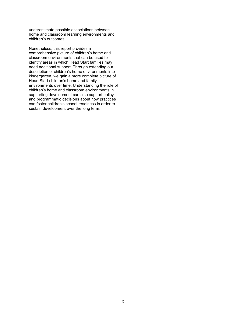underestimate possible associations between home and classroom learning environments and children's outcomes.

Nonetheless, this report provides a comprehensive picture of children's home and classroom environments that can be used to identify areas in which Head Start families may need additional support. Through extending our description of children's home environments into kindergarten, we gain a more complete picture of Head Start children's home and family environments over time. Understanding the role of children's home and classroom environments in supporting development can also support policy and programmatic decisions about how practices can foster children's school readiness in order to sustain development over the long term.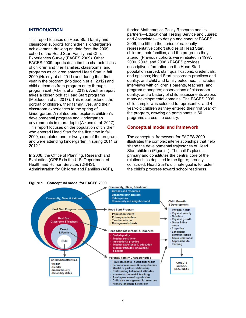## **INTRODUCTION**

This report focuses on Head Start family and classroom supports for children's kindergarten achievement, drawing on data from the 2009 cohort of the Head Start Family and Child Experiences Survey (FACES 2009). Other FACES 2009 reports describe the characteristics of children and their families, classrooms, and programs as children entered Head Start in fall 2009 (Hulsey et al. 2011) and during their first year in the program (Moiduddin et al. 2012) and child outcomes from program entry through program exit (Aikens et al. 2013). Another report takes a closer look at Head Start programs (Moiduddin et al. 2017). This report extends the portrait of children, their family lives, and their classroom experiences to the spring of kindergarten. A related brief explores children's developmental progress and kindergarten environments in more depth (Aikens et al. 2017). This report focuses on the population of children who entered Head Start for the first time in fall 2009, completed one or two years of the program, and were attending kindergarten in spring 2011 or 2012.[1](#page-11-0)

In 2008, the Office of Planning, Research and Evaluation (OPRE) in the U.S. Department of Health and Human Services (DHHS), Administration for Children and Families (ACF), funded Mathematica Policy Research and its partners—Educational Testing Service and Juárez and Associates—to design and conduct FACES 2009, the fifth in the series of nationally representative cohort studies of Head Start children, their families, and the programs they attend. (Previous cohorts were initiated in 1997, 2000, 2003, and 2006.) FACES provides descriptive information on the Head Start population served; staff qualifications, credentials, and opinions; Head Start classroom practices and quality; and child and family outcomes. It includes interviews with children's parents, teachers, and program managers; observations of classroom quality; and a battery of child assessments across many developmental domains. The FACES 2009 child sample was selected to represent 3- and 4 year-old children as they entered their first year of the program, drawing on participants in 60 programs across the country.

## **Conceptual model and framework**

The conceptual framework for FACES 2009 illustrates the complex interrelationships that help shape the developmental trajectories of Head Start children (Figure 1). The child's place is primary and constitutes the central core of the relationships depicted in the figure; broadly construed, Head Start's ultimate goal is to foster the child's progress toward school readiness.

#### **Figure 1. Conceptual model for FACES 2009**

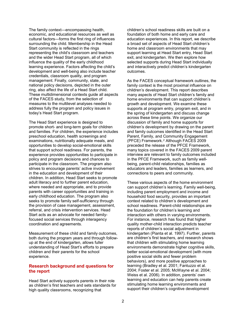<span id="page-11-0"></span>The family context—encompassing health, economic, and educational resources as well as cultural factors—forms the first ring of influences surrounding the child. Membership in the Head Start community is reflected in the rings representing the child's classroom and teachers and the wider Head Start program, all of which influence the quality of the early childhood learning experience. Factors affecting the child's development and well-being also include teacher credentials, classroom quality, and program management. Finally, community, state, and national policy decisions, depicted in the outer ring, also affect the life of a Head Start child. These multidimensional contexts guide all aspects of the FACES study, from the selection of measures to the multilevel analyses needed to address fully the program and policy issues in today's Head Start program.

The Head Start experience is designed to promote short- and long-term goals for children and families. For children, the experience includes preschool education, health screenings and examinations, nutritionally adequate meals, and opportunities to develop social-emotional skills that support school readiness. For parents, the experience provides opportunities to participate in policy and program decisions and chances to participate in the classroom. The program also strives to encourage parents' active involvement in the education and development of their children. In addition, Head Start seeks to promote adult literacy and to further parent education, where needed and appropriate, and to provide parents with career opportunities and training in early childhood education. The program also seeks to promote family self-sufficiency through the provision of case management, assessment, referral, and crisis intervention services. Head Start acts as an advocate for needed familyfocused social services through interagency coordination and agreements.

Measurement of these child and family outcomes, both during the program years and through followup at the end of kindergarten, allows fuller understanding of Head Start's efforts to prepare children and their parents for the school experience.

## **Research background and questions for the report**

Head Start actively supports parents in their role as children's first teachers and sets standards for high quality classrooms, recognizing that

children's school readiness skills are built on a foundation of both home and early care and education experiences. In this report, we describe a broad set of aspects of Head Start children's home and classroom environments that may support learning at Head Start entry, Head Start exit, and kindergarten. We then explore how selected supports during Head Start individually and interactively predict children's kindergarten outcomes.

As the FACES conceptual framework outlines, the family context is the most proximal influence on children's development. This report describes many aspects of Head Start children's family and home environments that can support children's growth and development. We examine these supports at program entry, program exit, and in the spring of kindergarten and discuss change across these time points. We organize our discussion of family and home supports for children's development by drawing on the parent and family outcomes identified in the Head Start Parent, Family, and Community Engagement (PFCE) Framework.[2](#page-19-0) Although FACES 2009 preceded the release of the PFCE Framework, many topics covered in the FACES 2009 parent interview are relevant to family outcomes included in the PFCE Framework, such as family wellbeing, parent-child relationships, families as educators and leaders, families as learners, and connections to peers and community.

These various aspects of the home environment can support children's learning. Family well-being, including parent employment and income and household food security, provides an important context related to children's development and school readiness. Parent-child relationships are the foundation for children's learning and interaction with others in varying environments. For instance, research has found that higher quality mother-child interaction predicts teacher reports of children's social adjustment in kindergarten (Pianta et al. 1997). Further, parents are children's first teachers, and research shows that children with stimulating home learning environments demonstrate higher cognitive skills, better social-emotional development (with more positive social skills and fewer problem behaviors), and more positive approaches to learning (Bradley et al. 2001; Fantuzzo et al. 2004; Foster et al. 2005; McWayne et al. 2004; Weiss et al. 2006). In addition, parents' own learning and education can help parents create stimulating home learning environments and support their children's cognitive development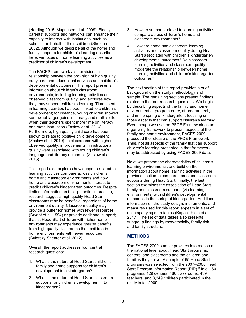(Harding 2015; Magnuson et al. 2009). Finally, parents' supports and networks can enhance their capacity to interact with institutions, such as schools, on behalf of their children (Sheldon 2002). Although we describe all of the home and family supports for children's learning described here, we focus on home learning activities as a predictor of children's development.

The FACES framework also envisions a relationship between the provision of high quality early care and educational services and children's developmental outcomes. This report presents information about children's classroom environments, including learning activities and observed classroom quality, and explores how they may support children's learning. Time spent in learning activities has been linked to children's development; for instance, young children showed somewhat larger gains in literacy and math skills when their teachers spent more time on literacy and math instruction (Zaslow et al. 2016). Furthermore, high quality child care has been shown to relate to positive child development (Zaslow et al. 2010). In classrooms with higher observed quality, improvements in instructional quality were associated with young children's language and literacy outcomes (Zaslow et al. 2016).

This report also explores how supports related to learning activities compare across children's home and classroom environments and how home and classroom environments interact to predict children's kindergarten outcomes. Despite limited information on their potential interaction, research suggests high quality Head Start classrooms may be beneficial regardless of home environment quality. Classroom quality may provide a buffer for homes with fewer resources (Bryant et al. 1994) or provide additional support; that is, Head Start children with richer home environments may experience greater benefits from high quality classrooms than children in home environments with fewer resources (Bulotsky-Shearer et al. 2012).

Overall, the report addresses four central research questions:

- 1. What is the nature of Head Start children's family and home supports for children's development into kindergarten?
- 2. What is the nature of Head Start classroom supports for children's development into kindergarten?
- 3. How do supports related to learning activities compare across children's home and classroom environments?
- 4. How are home and classroom learning activities and classroom quality during Head Start associated with children's kindergarten developmental outcomes? Do classroom learning activities and classroom quality moderate the relationship between home learning activities and children's kindergarten outcomes?

The next section of this report provides a brief background on the study methodology and sample. The remaining sections present findings related to the four research questions. We begin by describing aspects of the family and home environment at program entry, at program exit, and in the spring of kindergarten, focusing on those aspects that can support children's learning. Even though we use the PFCE Framework as an organizing framework to present aspects of the family and home environment, FACES 2009 preceded the release of the PFCE Framework. Thus, not all aspects of the family that can support children's learning presented in that framework may be addressed by using FACES 2009 data.

Next, we present the characteristics of children's learning environments, and build on the information about home learning activities in the previous section to compare home and classroom supports during Head Start. Finally, the last section examines the association of Head Start family and classroom supports (via learning environments) with children's developmental outcomes in the spring of kindergarten. Additional information on the study design, instruments, and measures used for this report appears in a set of accompanying data tables (Kopack Klein et al. 2017). The set of data tables also presents subgroup findings by race/ethnicity, family risk, and family structure.

# **METHODS**

The FACES 2009 sample provides information at the national level about Head Start programs, centers, and classrooms and the children and families they serve. A sample of 65 Head Start programs was selected from the 2007–2008 Head Start Program Information Report (PIR).<sup>[3](#page-19-1)</sup> In all, 60 programs, 129 centers, 486 classrooms, 439 teachers, and 3,349 children participated in the study in fall 2009.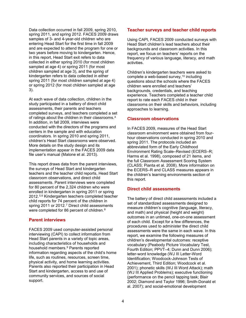Data collection occurred in fall 2009, spring 2010, spring 2011, and spring 2012. FACES 2009 draws samples of 3- and 4-year-old children who are entering Head Start for the first time in fall 2009 and are expected to attend the program for one or two years before moving to kindergarten. Hence, in this report, Head Start exit refers to data collected in either spring 2010 (for most children sampled at age 4) or spring 2011 (for most children sampled at age 3), and the spring of kindergarten refers to data collected in either spring 2011 (for most children sampled at age 4) or spring 2012 (for most children sampled at age 3).

At each wave of data collection, children in the study participated in a battery of direct child assessments, their parents and teachers completed surveys, and teachers completed a set of ratings about the children in their classrooms.[4](#page-20-0) In addition, in fall 2009, interviews were conducted with the directors of the programs and centers in the sample and with education coordinators. In spring 2010 and spring 2011, children's Head Start classrooms were observed. More details on the study design and its implementation appear in the FACES 2009 data file user's manual (Malone et al. 2013).

This report draws data from the parent interviews, the surveys of Head Start and kindergarten teachers and the teacher child reports, Head Start classroom observations, and direct child assessments. Parent interviews were completed for 80 percent of the 2,324 children who were enrolled in kindergarten in spring 2011 or spring 2012.[5](#page-20-1),[6](#page-20-2) Kindergarten teachers completed teacher child reports for 74 percent of the children in spring 2011 or 2012.<sup>[7](#page-20-3)</sup> Direct child assessments were completed for [8](#page-20-4)6 percent of children.<sup>8</sup>

# **Parent interviews**

FACES 2009 used computer-assisted personal interviewing (CAPI) to collect information from Head Start parents in a variety of topic areas, including characteristics of households and household members.[9](#page-20-5) Parents reported information regarding aspects of the child's home life, such as routines, resources, screen time, physical activity, and home learning activities. Parents also reported their participation in Head Start and kindergarten, access to and use of community services, and sources of social support.

## **Teacher surveys and teacher child reports**

Using CAPI, FACES 2009 conducted surveys with Head Start children's lead teachers about their backgrounds and classroom activities. In this report, we focus on teachers' reports on the frequency of various language, literacy, and math activities.

Children's kindergarten teachers were asked to complete a web-based survey,  $10$  including questions about the schools where the FACES children were enrolled and teachers' backgrounds, credentials, and teaching experience. Teachers completed a teacher child report to rate each FACES child in their classrooms on their skills and behaviors, including approaches to learning.

# **Classroom observations**

In FACES 2009, measures of the Head Start classroom environment were obtained from fourhour observations conducted in spring 2010 and spring 2011. The protocols included an abbreviated form of the Early Childhood Environment Rating Scale–Revised (ECERS–R; Harms et al. 1998), composed of 21 items, and the full Classroom Assessment Scoring System (CLASS; Pianta et al. 2008). More information on the ECERS–R and CLASS measures appears in the children's learning environments section of this report.

# **Direct child assessments**

The battery of direct child assessments included a set of standardized assessments designed to measure children's cognitive (language, literacy, and math) and physical (height and weight) outcomes in an untimed, one-on-one assessment of each child. Except for a few differences, the procedures used to administer the direct child assessments were the same in each wave. In this report, we examine the following measures of children's developmental outcomes: receptive vocabulary (Peabody Picture Vocabulary Test, Fourth Edition; PPVT–4; Dunn and Dunn 2006); letter-word knowledge (WJ III Letter-Word Identification; Woodcock-Johnson Tests of Achievement, Third Edition; Woodcock et al. 2001); phonetic skills (WJ III Word Attack); math (WJ III Applied Problems); executive functioning (performance on the pencil tapping task; Blair 2002; Diamond and Taylor 1996; Smith-Donald et al. 2007); and social-emotional development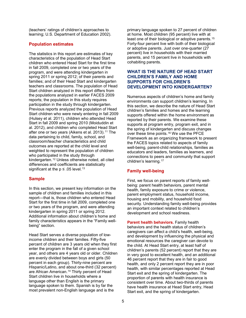(teachers' ratings of children's approaches to learning; U.S. Department of Education 2002).

# **Population estimates**

The statistics in this report are estimates of key characteristics of the population of Head Start children who entered Head Start for the first time in fall 2009, completed one or two years of the program, and were attending kindergarten in spring 2011 or spring 2012; of their parents and families; and of their Head Start and kindergarten teachers and classrooms. The population of Head Start children analyzed in this report differs from the populations analyzed in earlier FACES 2009 reports; the population in this study requires participation in the study through kindergarten. Previous reports analyzed the population of Head Start children who were newly entering in fall 2009 (Hulsey et al. 2011), children who attended Head Start in fall 2009 and spring 2010 (Moiduddin et al. 2012), and children who completed Head Start after one or two years (Aikens et al. 2013).<sup>[11](#page-21-1)</sup> The data pertaining to child, family, school, and classroom/teacher characteristics and child outcomes are reported at the child level and weighted to represent the population of children who participated in the study through kindergarten.[12](#page-21-2) Unless otherwise noted, all cited differences and coefficients are statistically significant at the  $p \leq .05$  level.<sup>[13](#page-21-3)</sup>

# **Sample**

In this section, we present key information on the sample of children and families included in this report—that is, those children who entered Head Start for the first time in fall 2009, completed one or two years of the program, and were attending kindergarten in spring 2011 or spring 2012. Additional information about children's home and family characteristics appears in the "Family wellbeing" section.

Head Start serves a diverse population of lowincome children and their families. Fifty-five percent of children are 3 years old when they first enter the program in the fall of a given school year, and others are 4 years old or older. Children are evenly divided between boys and girls (50 percent in each group). Thirty-nine percent are Hispanic/Latino, and about one-third (32 percent) are African American.<sup>[14](#page-21-4)</sup> Thirty percent of Head Start children live in households where a language other than English is the primary language spoken to them. Spanish is by far the most prevalent non-English language and is the

primary language spoken to 27 percent of children at home. Most children (95 percent) live with at least one of their biological or adoptive parents.<sup>[15](#page-22-0)</sup> Forty-four percent live with both of their biological or adoptive parents. Just over one-quarter (27 percent) live in households with their married parents, and 15 percent live in households with cohabiting parents.

# **WHAT IS THE NATURE OF HEAD START CHILDREN'S FAMILY AND HOME SUPPORTS FOR CHILDREN'S DEVELOPMENT INTO KINDERGARTEN?**

Numerous aspects of children's home and family environments can support children's learning. In this section, we describe the nature of Head Start children's families and homes and the learning supports offered within the home environment as reported by their parents. We examine these supports at program entry, program exit, and in the spring of kindergarten and discuss changes over these time points.[16](#page-22-1) We use the PFCE Framework as an organizing framework to present the FACES topics related to aspects of family well-being, parent-child relationships, families as educators and leaders, families as learners, and connections to peers and community that support children's learning.[17](#page-22-2)

# **Family well-being**

First, we focus on parent reports of family wellbeing: parent health behaviors, parent mental health, family exposure to crime or violence, parent employment status, household income, housing and mobility, and household food security. Understanding family well-being provides an important context related to children's development and school readiness.

**Parent health behaviors.** Family health behaviors and the health status of children's caregivers can affect a child's health, well-being, and development by influencing the physical and emotional resources the caregiver can devote to the child. At Head Start entry, at least half of children's parents (52 percent) report that they are in very good to excellent health, and an additional 46 percent report that they are in fair to good health, and only 2 percent report they are in poor health, with similar percentages reported at Head Start exit and the spring of kindergarten. The proportion of parents with health insurance is consistent over time. About two-thirds of parents have health insurance at Head Start entry, Head Start exit, and the spring of kindergarten.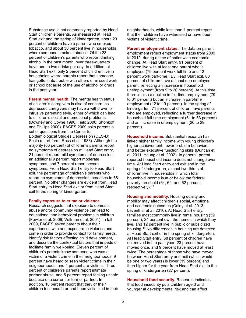Substance use is not commonly reported by Head Start children's parents. As measured at Head Start exit and the spring of kindergarten, about 20 percent of children have a parent who smokes tobacco, and about 30 percent live in households where someone smokes tobacco. Of the 23 percent of children's parents who report drinking alcohol in the past month, over three-quarters have one to two drinks per day. In addition, at Head Start exit, only 2 percent of children live in households where parents report that someone has gotten into trouble with others or missed work or school because of the use of alcohol or drugs in the past year.

**Parent mental health.** The mental health status of children's caregivers is also of concern, as depressed caregivers may have a withdrawn or intrusive parenting style, either of which can lead to children's social and emotional problems (Downey and Coyne 1990; Field 2000; Shonkoff and Phillips 2000). FACES 2009 asks parents a set of questions from the Center for Epidemiological Studies Depression (CES-D) Scale (short form; Ross et al. 1983). Although the majority (63 percent) of children's parents report no symptoms of depression at Head Start entry, 21 percent report mild symptoms of depression, an additional 9 percent report moderate symptoms, and 7 percent report severe symptoms. From Head Start entry to Head Start exit, the percentage of children's parents who report no symptoms of depression increases to 68 percent. No other changes are evident from Head Start entry to Head Start exit or from Head Start exit to the spring of kindergarten.

#### **Family exposure to crime or violence.**

Research suggests that exposure to domestic abuse and/or community violence can lead to educational and behavioral problems in children (Fowler et al. 2009; Veltman et al. 2001). In fall 2009, FACES asked parents about their experiences with and exposure to violence and crime in order to provide context for family needs, identify risk factors affecting child development, and describe the contextual factors that impede or facilitate family well-being. Eleven percent of children's parents know someone who was a victim of a violent crime in their neighborhoods, 9 percent have heard or seen violent crime in their neighborhoods, and 4 percent are victims. Three percent of children's parents report intimate partner abuse, and 5 percent report feeling unsafe because of a current or former partner. In addition, 10 percent report that they or their children feel unsafe or had been victimized in their neighborhoods, while less than 1 percent report that their children have witnessed or have been victims of violent crime.

**Parent employment status.** The data on parent employment reflect employment status from 2009 to 2012, during a time of nationwide economic change. At Head Start entry, 91 percent of children live with at least one parent who is employed (79 percent work full-time and 12 percent work part-time). By Head Start exit, 80 percent of children have at least one employed parent, reflecting an increase in household unemployment (from 9 to 20 percent). At this time, there is also a decline in full-time employment (79 to 61 percent) but an increase in part-time employment (12 to 19 percent). In the spring of kindergarten, 71 percent of children have parents who are employed, reflecting a further decrease in household full-time employment (61 to 53 percent) and an increase in unemployment (20 to 29 percent).

**Household income.** Substantial research has linked higher family income with young children's higher achievement, fewer problem behaviors, and better executive functioning skills (Duncan et al. 2011; Yeung et al. 2002). In general, parentreported household income does not change over time. At Head Start entry and exit and in the spring of kindergarten, almost two-thirds of children live in households in which total household income is at or below the federal poverty threshold (64, 62, and 62 percent, respectively).[18](#page-22-3)

**Housing and mobility.** Housing quality and mobility may affect children's social, emotional, and academic outcomes (Coley et al. 2013; Leventhal et al. 2010). At Head Start entry, families most commonly live in rental housing (59 percent), 24 percent own the homes in which they live, and 12 percent live in public or subsidized housing.[19](#page-22-4) No differences in housing are detected at Head Start exit or in the spring of kindergarten. At Head Start entry, 68 percent of children have not moved in the past year, 23 percent have moved once, and 9 percent have moved at least twice. The percentage of those who have moved between Head Start entry and exit (which would be one or two years) is lower (19 percent) and then higher for the year from Head Start exit to the spring of kindergarten (27 percent).

**Household food security.** Research indicates that food insecurity puts children age 3 and younger at developmental risk and can affect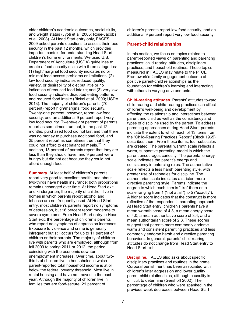older children's academic outcomes, social skills, and weight status (Jyoti et al. 2005; Rose-Jacobs et al. 2008). At Head Start entry only, FACES 2009 asked parents questions to assess their food security in the past 12 months, which provides important context for understanding Head Start children's home environments. We used U.S. Department of Agriculture (USDA) guidelines to create a food security scale with three categories: (1) high/marginal food security indicates no or minimal food access problems or limitations; (2) low food security indicates reduced quality, variety, or desirability of diet but little or no indication of reduced food intake; and (3) very low food security indicates disrupted eating patterns and reduced food intake (Bickel et al. 2000; USDA 2013). The majority of children's parents (70 percent) report high/marginal food security. Twenty-one percent, however, report low food security, and an additional 9 percent report very low food security. Twenty-eight percent of parents report as sometimes true that, in the past 12 months, purchased food did not last and that there was no money to purchase additional food, and 25 percent report as sometimes true that they could not afford to eat balanced meals.[20](#page-23-0) In addition, 18 percent of parents report that they ate less than they should have, and 9 percent were hungry but did not eat because they could not afford enough food.

**Summary.** At least half of children's parents report very good to excellent health, and about two-thirds have health insurance; both proportions remain unchanged over time. At Head Start exit and kindergarten, the majority of children live in homes in which parents report alcohol and tobacco are not frequently used. At Head Start entry, most children's parents report no symptoms of depression, but 16 percent report moderate to severe symptoms. From Head Start entry to Head Start exit, the percentage of children's parents who report no symptoms of depression increases. Exposure to violence and crime is generally infrequent but still occurs for up to 11 percent of children or their parents. The majority of children live with parents who are employed, although from fall 2009 to spring 2011 or 2012, the period coinciding with the economic downturn, unemployment increases. Over time, about twothirds of children live in households in which parent-reported total household income is at or below the federal poverty threshold. Most live in rental housing and have not moved in the past year. Although the majority of children live in families that are food-secure, 21 percent of

children's parents report low food security, and an additional 9 percent report very low food security.

## **Parent-child relationships**

In this section, we focus on topics related to parent-reported views on parenting and parenting practices: child-rearing attitudes, disciplinary practices, and household routines. These topics measured in FACES may relate to the PFCE Framework's family engagement outcome of positive parent-child relationships as the foundation for children's learning and interacting with others in varying environments.

**Child-rearing attitudes.** Parents' attitudes toward child rearing and child-rearing practices can affect children's well-being and development by affecting the relationship and interactions between parent and child as well as the consistency and types of discipline used by the parent. To address parenting approaches during Head Start, parents indicate the extent to which each of 13 items from the "Child-Rearing Practices Report" (Block 1965) describes them. From these items, four subscales are created. The parental warmth scale reflects a warm, supportive parenting model in which the parent encourages curiosity. The parental energy scale indicates the parent's energy and consistency in enforcing rules. The authoritative scale reflects a less harsh parenting style, with greater use of rationales for discipline. The authoritarian scale indicates a stricter, more directive parenting style. Parents indicate the degree to which each item is "like" them on a scale ranging from 1 ("not at all") to 5 ("exactly"). A higher score indicates that the construct is more reflective of the respondent's parenting approach. At Head Start entry, children's parents have a mean warmth score of 4.3, a mean energy score of 4.0, a mean authoritative score of 3.4, and a mean authoritarian score of 2.3. These scores suggest that parents more commonly endorse warm and consistent parenting practices and less commonly endorse harsh and directive parenting behaviors. In general, parents' child-rearing attitudes do not change from Head Start entry to Head Start exit.

**Discipline.** FACES also asks about specific disciplinary practices and routines in the home. Corporal punishment has been associated with children's later aggression and lower quality parent-child relationships, although causality is difficult to determine (Gershoff 2002). The percentage of children who were spanked in the previous week decreases between Head Start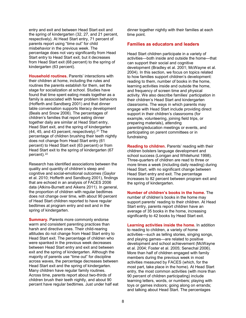entry and exit and between Head Start exit and the spring of kindergarten (32, 27, and 21 percent, respectively). At Head Start entry, 71 percent of parents report using "time out" for child misbehavior in the previous week. The percentage does not vary significantly from Head Start entry to Head Start exit, but it decreases from Head Start exit (68 percent) to the spring of kindergarten (63 percent).

**Household routines.** Parents' interactions with their children at home, including the rules and routines the parents establish for them, set the stage for socialization at school. Studies have found that time spent eating meals together as a family is associated with fewer problem behaviors (Hofferth and Sandberg 2001) and that dinner table conversation supports literacy development (Beals and Snow 2006). The percentages of children's families that report eating dinner together daily are similar at Head Start entry, Head Start exit, and the spring of kindergarten (44, 45, and 43 percent, respectively).<sup>[21](#page-24-0)</sup> The percentage of children brushing their teeth nightly does not change from Head Start entry (61 percent) to Head Start exit (63 percent) or from Head Start exit to the spring of kindergarten (67 percent).<sup>[22](#page-24-1)</sup>

Research has identified associations between the quality and quantity of children's sleep and cognitive and social-emotional outcomes (Gaylor et al. 2010; Hofferth and Sandburg 2001), findings that are echoed in an analysis of FACES 2006 data (Atkins-Burnett and Aikens 2011). In general, the proportion of children with regular bedtimes does not change over time, with about 90 percent of Head Start children reported to have regular bedtimes at program entry and exit and in the spring of kindergarten.

**Summary.** Parents more commonly endorse warm and consistent parenting practices than harsh and directive ones. Their child-rearing attitudes do not change from Head Start entry to Head Start exit. The percentage of children who were spanked in the previous week decreases between Head Start entry and exit and between exit and the spring of kindergarten. Although the majority of parents use "time out" for discipline across waves, the percentage decreases between Head Start exit and the spring of kindergarten. Many children have regular family routines. Across time, parents report about two-thirds of children brush their teeth nightly, and about 90 percent have regular bedtimes. Just under half eat dinner together nightly with their families at each time point.

# **Families as educators and leaders**

Head Start children participate in a variety of activities—both inside and outside the home—that can support their social and cognitive development (Bradley et al. 2001; McWayne et al. 2004). In this section, we focus on topics related to how families support children's development: reading to them, number of books in the home, learning activities inside and outside the home, and frequency of screen time and physical activity. We also describe families' participation in their children's Head Start and kindergarten classrooms. The ways in which parents may engage with Head Start include providing direct support in their children's classrooms (for example, volunteering, joining field trips, or preparing materials), attending parenting/education meetings or events, and participating on parent committees or in fundraising.

**Reading to children.** Parents' reading with their children bolsters language development and school success (Lonigan and Whitehurst 1998). Three-quarters of children are read to three or more times a week (including daily reading) during Head Start, with no significant change between Head Start entry and exit. The percentage increases to 82 percent between program exit and the spring of kindergarten.

**Number of children's books in the home.** The number of children's books in the home may support parents' reading to their children. At Head Start entry, parents report children have an average of 35 books in the home, increasing significantly to 42 books by Head Start exit.

**Learning activities inside the home.** In addition to reading to children, a variety of home activities—such as telling stories, singing songs, and playing games—are related to positive development and school achievement (McWayne et al. 2004; Foster et al. 2005; Senechal 2006). More than half of children engaged with family members during the previous week in most activities measured by FACES (which, for the most part, take place in the home). At Head Start entry, the most common activities (with more than 90 percent of children participating) include learning letters, words, or numbers; playing with toys or games indoors; going along on errands; and talking about Head Start. The percentages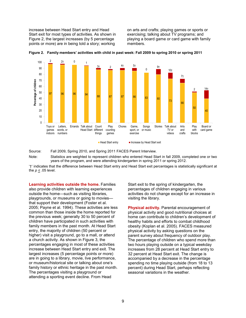increase between Head Start entry and Head Start exit for most types of activities. As shown in Figure 2, the largest increases (by 5 percentage points or more) are in being told a story; working

on arts and crafts; playing games or sports or exercising; talking about TV programs; and playing a board game or card game with family members.





Source: Fall 2009, Spring 2010, and Spring 2011 FACES Parent Interview. Note: Statistics are weighted to represent children who entered Head Start in fall 2009, completed one or two years of the program, and were attending kindergarten in spring 2011 or spring 2012.

'†' indicates that the difference between Head Start entry and Head Start exit percentages is statistically significant at the  $p \leq 0.05$  level.

**Learning activities outside the home.** Families also provide children with learning experiences outside the home—such as visiting libraries, playgrounds, or museums or going to movies that support their development (Foster et al. 2005; Payne et al. 1994). These activities are less common than those inside the home reported for the previous week; generally 30 to 50 percent of children have participated in such activities with family members in the past month. At Head Start entry, the majority of children (50 percent or higher) visit a playground, go to a mall, or attend a church activity. As shown in Figure 3, the percentages engaging in most of these activities increase between Head Start entry and exit. The largest increases (5 percentage points or more) are in going to a library, movie, live performance, or museum/historical site or talking about one's family history or ethnic heritage in the past month. The percentages visiting a playground or attending a sporting event decline. From Head

Start exit to the spring of kindergarten, the percentages of children engaging in various activities do not change except for an increase in visiting the library.

**Physical activity.** Parental encouragement of physical activity and good nutritional choices at home can contribute to children's development of healthy habits and efforts to combat childhood obesity (Koplan et al. 2005). FACES measured physical activity by asking questions on the parent survey about frequency of outdoor play. The percentage of children who spend more than two hours playing outside on a typical weekday increases from 28 percent at Head Start entry to 32 percent at Head Start exit. The change is accompanied by a decrease in the percentage spending no time playing outside (from 18 to 13 percent) during Head Start, perhaps reflecting seasonal variations in the weather.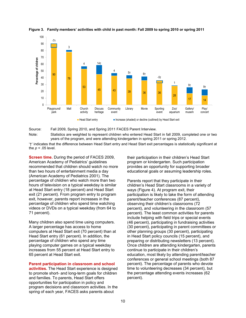<span id="page-19-0"></span>

**Figure 3. Family members' activities with child in past month: Fall 2009 to spring 2010 or spring 2011**

<span id="page-19-1"></span>Source: Fall 2009, Spring 2010, and Spring 2011 FACES Parent Interview.

Note: Statistics are weighted to represent children who entered Head Start in fall 2009, completed one or two years of the program, and were attending kindergarten in spring 2011 or spring 2012.

'†' indicates that the difference between Head Start entry and Head Start exit percentages is statistically significant at the *p <* .05 level.

**Screen time.** During the period of FACES 2009, American Academy of Pediatrics' guidelines recommended that children should watch no more than two hours of entertainment media a day (American Academy of Pediatrics 2001). The percentage of children who watch more than two hours of television on a typical weekday is similar at Head Start entry (18 percent) and Head Start exit (21 percent). From program entry to program exit, however, parents report increases in the percentage of children who spend time watching videos or DVDs on a typical weekday (from 64 to 71 percent).

Many children also spend time using computers. A larger percentage has access to home computers at Head Start exit (70 percent) than at Head Start entry (61 percent). In addition, the percentage of children who spend any time playing computer games on a typical weekday increases from 55 percent at Head Start entry to 65 percent at Head Start exit.

#### **Parent participation in classroom and school**

**activities.** The Head Start experience is designed to promote short- and long-term goals for children and families. To parents, Head Start offers opportunities for participation in policy and program decisions and classroom activities. In the spring of each year, FACES asks parents about

their participation in their children's Head Start program or kindergarten. Such participation provides an opportunity for supporting broader educational goals or assuming leadership roles.

Parents report that they participate in their children's Head Start classrooms in a variety of ways (Figure 4). At program exit, their participation is likely to take the form of attending parent/teacher conferences (87 percent), observing their children's classrooms (72 percent), and volunteering in the classroom (57 percent). The least common activities for parents include helping with field trips or special events (46 percent), participating in fundraising activities (30 percent), participating in parent committees or other planning groups (30 percent), participating in Head Start policy councils (15 percent), and preparing or distributing newsletters (13 percent). Once children are attending kindergarten, parents continue to participate in their children's education, most likely by attending parent/teacher conferences or general school meetings (both 87 percent). The percentage of parents who devote time to volunteering decreases (34 percent), but the percentage attending events increases (62 percent).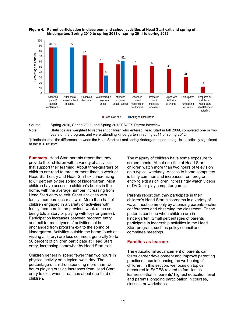<span id="page-20-2"></span>

#### <span id="page-20-1"></span>**Figure 4. Parent participation in classroom and school activities at Head Start exit and spring of kindergarten: Spring 2010 to spring 2011 or spring 2011 to spring 2012**

<span id="page-20-3"></span>Source: Spring 2010, Spring 2011, and Spring 2012 FACES Parent Interview.

Note: Statistics are weighted to represent children who entered Head Start in fall 2009, completed one or two years of the program, and were attending kindergarten in spring 2011 or spring 2012.

<span id="page-20-0"></span>'‡' indicates that the difference between the Head Start exit and spring kindergarten percentage is statistically significant at the  $p < 0.05$  level.

<span id="page-20-4"></span>**Summary.** Head Start parents report that they provide their children with a variety of activities that support their learning. About three-quarters of children are read to three or more times a week at Head Start entry and Head Start exit, increasing to 81 percent by the spring of kindergarten. Most children have access to children's books in the home, with the average number increasing from Head Start entry to exit. Other activities with family members occur as well. More than half of children engaged in a variety of activities with family members in the previous week (such as being told a story or playing with toys or games). Participation increases between program entry and exit for most types of activities but is unchanged from program exit to the spring of kindergarten. Activities outside the home (such as visiting a library) are less common; generally 30 to 50 percent of children participate at Head Start entry, increasing somewhat by Head Start exit.

<span id="page-20-5"></span>Children generally spend fewer than two hours in physical activity on a typical weekday. The percentage of children spending more than two hours playing outside increases from Head Start entry to exit, when it reaches about one-third of children.

The majority of children have some exposure to screen media. About one-fifth of Head Start children watch more than two hours of television on a typical weekday. Access to home computers is fairly common and increases from program entry to exit as children increasingly watch videos or DVDs or play computer games.

Parents report that they participate in their children's Head Start classrooms in a variety of ways, most commonly by attending parent/teacher conferences and observing the classroom. These patterns continue when children are in kindergarten. Small percentages of parents participate in leadership activities in the Head Start program, such as policy council and committee meetings.

# **Families as learners**

The educational advancement of parents can foster career development and improve parenting practices, thus influencing the well-being of children. In this section, we focus on topics measured in FACES related to families as learners—that is, parents' highest education level and parents' ongoing participation in courses, classes, or workshops.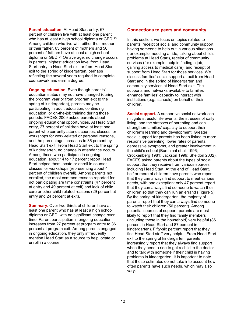<span id="page-21-0"></span>**Parent education.** At Head Start entry, 67 percent of children live with at least one parent who has at least a high school diploma or GED.<sup>[23](#page-21-5)</sup> Among children who live with either their mother or their father, 63 percent of mothers and 50 percent of fathers have at least a high school diploma or GED.<sup>[24](#page-21-6)</sup> On average, no change occurs in parents' highest education level from Head Start entry to Head Start exit or from Head Start exit to the spring of kindergarten, perhaps reflecting the several years required to complete coursework and earn a degree.

<span id="page-21-2"></span><span id="page-21-1"></span>**Ongoing education.** Even though parents' education status may not have changed (during the program year or from program exit to the spring of kindergarten), parents may be participating in adult education, continuing education, or on-the-job training during those periods. FACES 2009 asked parents about ongoing educational opportunities. At Head Start entry, 27 percent of children have at least one parent who currently attends courses, classes, or workshops for work-related or personal reasons, and the percentage increases to 36 percent by Head Start exit. From Head Start exit to the spring of kindergarten, no change in attendance occurs. Among those who participate in ongoing education, about 14 to 17 percent report Head Start helped them locate or enroll in courses, classes, or workshops (representing about 4 percent of children overall). Among parents not enrolled, the most common reasons reported for not participating are time constraints (47 percent at entry and 49 percent at exit) and lack of child care or other child-related reasons (29 percent at entry and 24 percent at exit).

<span id="page-21-6"></span><span id="page-21-5"></span><span id="page-21-4"></span><span id="page-21-3"></span>**Summary.** Over two-thirds of children have at least one parent who has at least a high school diploma or GED, with no significant change over time. Parent participation in ongoing education increases from 27 percent at program entry to 36 percent at program exit. Among parents engaged in ongoing education, they only infrequently mention Head Start as a source to help locate or enroll in a course.

# **Connections to peers and community**

In this section, we focus on topics related to parents' receipt of social and community support: having someone to help out in various situations (for example, needing a ride, talking about child's problems at Head Start), receipt of community services (for example, help in finding a job, gaining access to medical care), and receipt of support from Head Start for those services. We discuss families' social support at exit from Head Start and in the spring of kindergarten and community services at Head Start exit. The supports and networks available to families enhance families' capacity to interact with institutions (e.g., schools) on behalf of their children.

**Social support.** A supportive social network can mitigate stressful life events, the stresses of daily living, and the stresses of parenting and can strengthen families' capacity to support their children's learning and development. Greater social support for parents has been linked to more responsive parenting, lower rates of parental depressive symptoms, and greater involvement in the child's school (Burchinal et al. 1996; Crockenberg 1981; Jackson 1999; Sheldon 2002). FACES asked parents about the types of social support that they receive from various sources, including Head Start. At the end of Head Start, half or more of children have parents who report that they can always find support to meet various needs, with one exception: only 47 percent report that they can always find someone to watch their children so that they can run an errand (Figure 5). By the spring of kindergarten, the majority of parents report that they can always find someone to watch their children (56 percent). Among potential sources of support, parents are most likely to report that they find family members (including those in the household) very helpful (86 percent in Head Start and 87 percent in kindergarten). Fifty-six percent report that they find Head Start staff very helpful. From Head Start exit to the spring of kindergarten, parents increasingly report that they always find support when they need a ride to get a child to the doctor and to talk with someone if their child is having problems in kindergarten. It is important to note that these estimates do not take into account how often parents have such needs, which may also vary.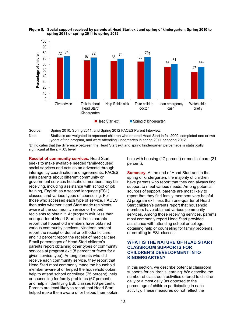<span id="page-22-3"></span>

#### <span id="page-22-2"></span>**Figure 5. Social support received by parents at Head Start exit and spring of kindergarten: Spring 2010 to spring 2011 or spring 2011 to spring 2012**

<span id="page-22-4"></span>Source: Spring 2010, Spring 2011, and Spring 2012 FACES Parent Interview.

Note: Statistics are weighted to represent children who entered Head Start in fall 2009, completed one or two years of the program, and were attending kindergarten in spring 2011 or spring 2012.

'‡' indicates that the difference between the Head Start exit and spring kindergarten percentage is statistically significant at the *p <* .05 level.

<span id="page-22-1"></span><span id="page-22-0"></span>**Receipt of community services.** Head Start seeks to make available needed family-focused social services and acts as an advocate through interagency coordination and agreements. FACES asks parents about different community or government services household members may be receiving, including assistance with school or job training, English as a second language (ESL) classes, and various types of counseling. For those who accessed each type of service, FACES then asks whether Head Start made recipients aware of the community service or helped recipients to obtain it. At program exit, less than one-quarter of Head Start children's parents report that household members have obtained various community services. Nineteen percent report the receipt of dental or orthodontic care, and 13 percent report the receipt of medical care. Small percentages of Head Start children's parents report obtaining other types of community services at program exit (8 percent or fewer for a given service type). Among parents who did receive each community service, they report that Head Start most commonly made the household member aware of or helped the household obtain help to attend school or college (75 percent), help or counseling for family problems (67 percent), and help in identifying ESL classes (66 percent). Parents are least likely to report that Head Start helped make them aware of or helped them obtain

help with housing (17 percent) or medical care (21 percent).

**Summary.** At the end of Head Start and in the spring of kindergarten, the majority of children have parents who report that they can always find support to meet various needs. Among potential sources of support, parents are most likely to report that they find family members very helpful. At program exit, less than one-quarter of Head Start children's parents report that household members have obtained various community services. Among those receiving services, parents most commonly report Head Start provided assistance with attending school or college, obtaining help or counseling for family problems, or enrolling in ESL classes.

# **WHAT IS THE NATURE OF HEAD START CLASSROOM SUPPORTS FOR CHILDREN'S DEVELOPMENT INTO KINDERGARTEN?**

In this section, we describe potential classroom supports for children's learning. We describe the number of classroom activities offered to children daily or almost daily (as opposed to the percentage of children participating in each activity). These measures do not reflect the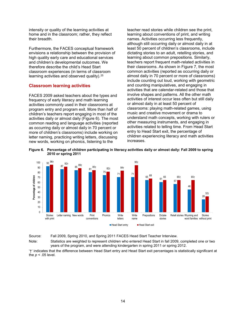intensity or quality of the learning activities at home and in the classroom; rather, they reflect their breadth.

Furthermore, the FACES conceptual framework envisions a relationship between the provision of high quality early care and educational services and children's developmental outcomes. We therefore describe the child's Head Start classroom experiences (in terms of classroom learning activities and observed quality).<sup>25</sup>

## **Classroom learning activities**

FACES 2009 asked teachers about the types and frequency of early literacy and math learning activities commonly used in their classrooms at program entry and program exit. More than half of children's teachers report engaging in most of the activities daily or almost daily (Figure 6). The most common reading and language activities (reported as occurring daily or almost daily in 70 percent or more of children's classrooms) include working on letter naming, practicing writing letters, discussing new words, working on phonics, listening to the

teacher read stories while children see the print, learning about conventions of print, and writing names. Activities occurring less frequently, although still occurring daily or almost daily in at least 50 percent of children's classrooms, include dictating stories to an adult, retelling stories, and learning about common prepositions. Similarly, teachers report frequent math-related activities in their classrooms. As shown in Figure 7, the most common activities (reported as occurring daily or almost daily in 70 percent or more of classrooms) include counting out loud, working with geometric and counting manipulatives, and engaging in activities that are calendar-related and those that involve shapes and patterns. All the other math activities of interest occur less often but still daily or almost daily in at least 50 percent of classrooms: playing math-related games, using music and creative movement or drama to understand math concepts, working with rulers or other measuring instruments, and engaging in activities related to telling time. From Head Start entry to Head Start exit, the percentage of children experiencing literacy and math activities increases.



<span id="page-23-0"></span>**Figure 6. Percentage of children participating in literacy activities daily or almost daily: Fall 2009 to spring 2010 or spring 2011** 

Source: Fall 2009, Spring 2010, and Spring 2011 FACES Head Start Teacher Interview.

Note: Statistics are weighted to represent children who entered Head Start in fall 2009, completed one or two years of the program, and were attending kindergarten in spring 2011 or spring 2012.

'†' indicates that the difference between Head Start entry and Head Start exit percentages is statistically significant at the *p <* .05 level.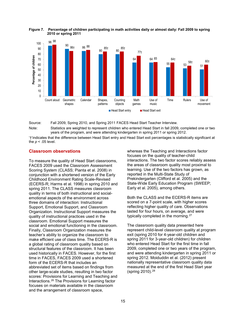



Source: Fall 2009, Spring 2010, and Spring 2011 FACES Head Start Teacher Interview.

Note: Statistics are weighted to represent children who entered Head Start in fall 2009, completed one or two years of the program, and were attending kindergarten in spring 2011 or spring 2012.

'†'indicates that the difference between Head Start entry and Head Start exit percentages is statistically significant at the *p* < .05 level.

#### <span id="page-24-0"></span>**Classroom observations**

<span id="page-24-1"></span>To measure the quality of Head Start classrooms, FACES 2009 used the Classroom Assessment Scoring System (CLASS; Pianta et al. 2008) in conjunction with a shortened version of the Early Childhood Environment Rating Scale-Revised (ECERS-R; Harms et al. 1998) in spring 2010 and spring 2011. The CLASS measures classroom quality in terms of both instructional and socialemotional aspects of the environment across three domains of interaction: Instructional Support, Emotional Support, and Classroom Organization. Instructional Support measures the quality of instructional practices used in the classroom. Emotional Support measures the social and emotional functioning in the classroom. Finally, Classroom Organization measures the teacher's ability to organize the classroom to make efficient use of class time. The ECERS-R is a global rating of classroom quality based on structural features of the classroom. It has been used historically in FACES. However, for the first time in FACES, FACES 2009 used a shortened form of the ECERS-R that includes an abbreviated set of items based on findings from other large-scale studies, resulting in two factor scores: Provisions for Learning and Teaching and Interactions.[26](#page-33-0) The Provisions for Learning factor focuses on materials available in the classroom and the arrangement of classroom space,

whereas the Teaching and Interactions factor focuses on the quality of teacher-child interactions. The two factor scores reliably assess the areas of classroom quality most proximal to learning. Use of the two factors has grown, as reported in the Multi-State Study of Prekindergarten (Clifford et al. 2005) and the State-Wide Early Education Program (SWEEP; Early et al. 2005), among others.

Both the CLASS and the ECERS-R items are scored on a 7-point scale, with higher scores reflecting higher quality of care. Observations lasted for four hours, on average, and were typically completed in the morning.[27](#page-34-0)

The classroom quality data presented here represent child-level classroom quality at program exit (spring 2010 for 4-year-old children and spring 2011 for 3-year-old children) for children who entered Head Start for the first time in fall 2009, completed one or two years of the program, and were attending kindergarten in spring 2011 or spring 2012. Moiduddin et al. (2012) present nationally representative classroom quality data measured at the end of the first Head Start year (spring 2010).<sup>[28](#page-34-1)</sup>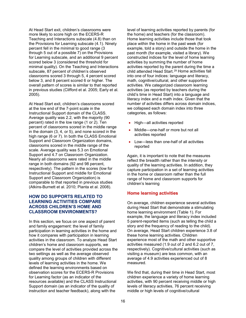At Head Start exit, children's classrooms were more likely to score high on the ECERS-R Teaching and Interactions subscale (4.8) than on the Provisions for Learning subscale (4.1). Ninety percent fell in the minimal to good range (3 through 5 out of a possible 7) on the Provisions for Learning subscale, and an additional 9 percent scored below 3 (considered the threshold for minimal quality). On the Teaching and Interactions subscale, 87 percent of children's observed classrooms scored 3 through 5, 4 percent scored below 3, and 8 percent scored 6 or higher. The overall pattern of scores is similar to that reported in previous studies (Clifford et al. 2005; Early et al. 2005).

At Head Start exit, children's classrooms scored at the low end of the 7-point scale in the Instructional Support domain of the CLASS. Average quality was 2.2, with the majority (90 percent) rated in the low range (1 or 2). Ten percent of classrooms scored in the middle range in the domain (3, 4, or 5), and none scored in the high range (6 or 7). In both the CLASS Emotional Support and Classroom Organization domains, classrooms scored in the middle range of the scale. Average quality was 5.3 on Emotional Support and 4.7 on Classroom Organization. Nearly all classrooms were rated in the middle range in both domains (92 and 98 percent, respectively). The pattern in the scores (low for Instructional Support and middle for Emotional Support and Classroom Organization) is comparable to that reported in previous studies (Atkins-Burnett et al. 2010; Pianta et al. 2008).

# **HOW DO SUPPORTS RELATED TO LEARNING ACTIVITIES COMPARE ACROSS CHILDREN'S HOME AND CLASSROOM ENVIRONMENTS?**

In this section, we focus on one aspect of parent and family engagement: the level of family participation in learning activities in the home and how it compares with participation in learning activities in the classroom. To analyze Head Start children's home and classroom supports, we compare the level of activities provided across the two settings as well as the average observed quality among groups of children with different levels of learning activities in the home. We defined the learning environments based on observation scores for the ECERS-R Provisions for Learning factor (as an indicator of the resources available) and the CLASS Instructional Support domain (as an indicator of the quality of instruction and teacher feedback), along with the

level of learning activities reported by parents (for the home) and teachers (for the classroom). Home learning activities include those that took place within the home in the past week (for example, told a story) and outside the home in the past month (for example, visited a library). We constructed indices for the level of home learning activities by summing the number of home activities reported by the parent during the time a child attended Head Start.[29](#page-35-0) Home activities fall into one of four indices: language and literacy, math, cognitive/cultural, and other supportive activities. We categorized classroom learning activities (as reported by teachers during the child's time in Head Start) into a language and literacy index and a math index. Given that the number of activities differs across domain indices, we collapsed each domain index into three categories, as follows:

- High—all activities reported
- Middle—one-half or more but not all activities reported
- Low—less than one-half of all activities reported

Again, it is important to note that the measures reflect the breadth rather than the intensity or quality of the learning activities. In addition, they capture participation in a set of learning activities in the home or classroom rather than the full range of home and classroom supports for children's learning

# **Home learning activities**

On average, children experience several activities during Head Start that demonstrate a stimulating home learning environment (Table 1). For example, the language and literacy index included 5 parent-reported items (such as telling the child a story and the frequency of reading to the child). On average, Head Start children experience 3.8 of these home learning activities. Children experience most of the math and other supportive activities measured (1.9 out of 2 and 6.2 out of 7, respectively). Cognitive/cultural activities (such as visiting a museum) are less common, with an average of 4.9 activities experienced out of 8 measured.

We find that, during their time in Head Start, most children experience a variety of home learning activities, with 90 percent receiving middle or high levels of literacy activities, 76 percent receiving middle or high levels of cognitive/cultural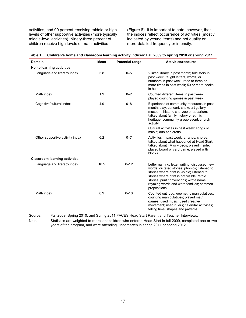activities, and 99 percent receiving middle or high levels of other supportive activities (more typically middle-level activities). Ninety-three percent of children receive high levels of math activities

(Figure 8). It is important to note, however, that the indices reflect occurrence of activities (mostly indicated by yes/no items) and not quality or more-detailed frequency or intensity.

| <b>Domain</b>                                                                                      | <b>Mean</b> | <b>Potential range</b>                                                                                                                                                                            | <b>Activities/resource</b>                                                                                                                                                                                                                                                                               |  |  |  |  |
|----------------------------------------------------------------------------------------------------|-------------|---------------------------------------------------------------------------------------------------------------------------------------------------------------------------------------------------|----------------------------------------------------------------------------------------------------------------------------------------------------------------------------------------------------------------------------------------------------------------------------------------------------------|--|--|--|--|
| Home learning activities                                                                           |             |                                                                                                                                                                                                   |                                                                                                                                                                                                                                                                                                          |  |  |  |  |
| Language and literacy index                                                                        | 3.8         | $0 - 5$<br>Visited library in past month, told story in<br>past week; taught letters, words, or<br>numbers in past week; read to three or<br>more times in past week; 50 or more books<br>in home |                                                                                                                                                                                                                                                                                                          |  |  |  |  |
| Math index                                                                                         | 1.9         | $0 - 2$                                                                                                                                                                                           | Counted different items in past week;<br>played counting games in past week                                                                                                                                                                                                                              |  |  |  |  |
| Cognitive/cultural index                                                                           | 4.9         | $0 - 8$                                                                                                                                                                                           | Experience of community resources in past<br>month: play, concert, show; art gallery,<br>museum, historic site; zoo or aquarium;<br>talked about family history or ethnic<br>heritage; community group event; church<br>activity<br>Cultural activities in past week: songs or<br>music; arts and crafts |  |  |  |  |
| Other supportive activity index                                                                    | 6.2         | $0 - 7$                                                                                                                                                                                           | Activities in past week: errands; chores;<br>talked about what happened at Head Start;<br>talked about TV or videos; played inside;<br>played board or card game; played with<br>blocks                                                                                                                  |  |  |  |  |
| <b>Classroom learning activities</b>                                                               |             |                                                                                                                                                                                                   |                                                                                                                                                                                                                                                                                                          |  |  |  |  |
| Language and literacy index                                                                        | 10.5        | $0 - 12$                                                                                                                                                                                          | Letter naming; letter writing; discussed new<br>words; dictated stories; phonics; listened to<br>stories where print is visible; listened to<br>stories where print is not visible; retold<br>stories; print conventions; wrote name;<br>rhyming words and word families; common<br>prepositions         |  |  |  |  |
| Math index                                                                                         | 8.9         | $0 - 10$                                                                                                                                                                                          | Counted out loud; geometric manipulatives;<br>counting manipulatives; played math<br>games; used music; used creative<br>movement; used rulers; calendar activities;<br>telling time; shapes and patterns                                                                                                |  |  |  |  |
| Fall 2009, Spring 2010, and Spring 2011 FACES Head Start Parent and Teacher Interviews.<br>Source: |             |                                                                                                                                                                                                   |                                                                                                                                                                                                                                                                                                          |  |  |  |  |

|  | Table 1. Children's home and classroom learning activity indices: Fall 2009 to spring 2010 or spring 2011 |
|--|-----------------------------------------------------------------------------------------------------------|
|--|-----------------------------------------------------------------------------------------------------------|

Note: Statistics are weighted to represent children who entered Head Start in fall 2009, completed one or two years of the program, and were attending kindergarten in spring 2011 or spring 2012.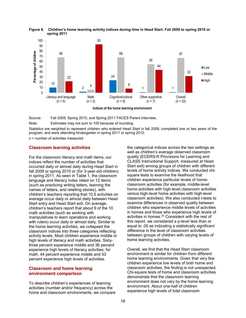



Source: Fall 2009, Spring 2010, and Spring 2011 FACES Parent Interview. Note: Estimates may not sum to 100 because of rounding.

Statistics are weighted to represent children who entered Head Start in fall 2009, completed one or two years of the program, and were attending kindergarten in spring 2011 or spring 2012.

n = number of activities measured

# **Classroom learning activities**

For the classroom literacy and math items, our indices reflect the number of activities that occurred daily or almost daily during Head Start in fall 2009 or spring 2010 or (for 3-year-old children) in spring 2011. As seen in Table 1, the classroom language and literacy index relied on 12 items (such as practicing writing letters, learning the names of letters, and retelling stories), with children's teachers reporting that 10.5 activities on average occur daily or almost daily between Head Start entry and Head Start exit. On average, children's teachers report that about 9 of the 10 math activities (such as working with manipulatives to learn operations and working with rulers) occur daily or almost daily. Similar to the home learning activities, we collapsed the classroom indices into three categories reflecting activity levels. Most children experience middle or high levels of literacy and math activities. Sixtythree percent experience middle and 36 percent experience high levels of literacy activities; for math, 44 percent experience middle and 53 percent experience high levels of activities.

# **Classroom and home learning environment comparison**

To describe children's experiences of learning activities (number and/or frequency) across the home and classroom environments, we compare the categorical indices across the two settings as well as children's average observed classroom quality (ECERS-R Provisions for Learning and CLASS Instructional Support, measured at Head Start exit) among groups of children with different levels of home activity indices. We conducted chisquare tests to examine the likelihood that children experience particular levels of homeclassroom activities (for example, middle-level home activities with high-level classroom activities versus high-level home activities with high-level classroom activities). We also conducted t-tests to examine differences in observed quality between children who experience middle levels of activities in homes and those who experience high levels of activities in homes.[30](#page-29-0) Consistent with the rest of this report, we considered a p-level less than or equal to .05 as indicating a statistically significant difference in the level of classroom activities between groups of children with varying levels of home learning activities.

Overall, we find that the Head Start classroom environment is similar for children from different home learning environments. Given that very few children experience low levels of both home and classroom activities, the finding is not unexpected. Chi-square tests of home and classroom activities demonstrate that the classroom learning environment does not vary by the home learning environment. About one-half of children experience high levels of total classroom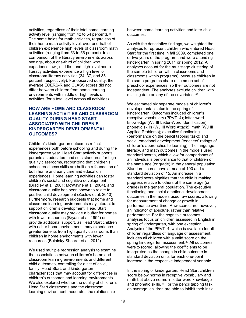activities, regardless of their total home learning activity level (ranging from 42 to 54 percent).  $31$ The same holds for math activities, regardless of their home math activity level, over one-half of children experience high levels of classroom math activities (ranging from 53 to 55 percent). In a comparison of the literacy environments across settings, about one-third of children who experience low-, middle-, and high-level home literacy activities experience a high level of classroom literacy activities (34, 37, and 35 percent, respectively). For observed quality, the average ECERS-R and CLASS scores did not differ between children from home learning environments with middle or high levels of activities (for a total level across all activities).

# **HOW ARE HOME AND CLASSROOM LEARNING ACTIVITIES AND CLASSROOM QUALITY DURING HEAD START ASSOCIATED WITH CHILDREN'S KINDERGARTEN DEVELOPMENTAL OUTCOMES?**

Children's kindergarten outcomes reflect experiences both before schooling and during the kindergarten year. Head Start actively supports parents as educators and sets standards for high quality classrooms, recognizing that children's school readiness skills are built on a foundation of both home and early care and education experiences. Home learning activities can foster children's social and cognitive development (Bradley et al. 2001; McWayne et al. 2004), and classroom quality has been shown to relate to positive child development (Zaslow et al. 2010). Furthermore, research suggests that home and classroom learning environments may interact to support children's development. Head Start classroom quality may provide a buffer for homes with fewer resources (Bryant et al. 1994) or provide additional support, as Head Start children with richer home environments may experience greater benefits from high quality classrooms than children in home environments with fewer resources (Bulotsky-Shearer et al. 2012).

We used multiple regression analysis to examine the associations between children's home and classroom learning environments and different child outcomes, controlling for a set of child, family, Head Start, and kindergarten characteristics that may account for differences in children's outcomes and learning environments. We also explored whether the quality of children's Head Start classrooms and the classroom learning environment moderates the relationship

between home learning activities and later child outcomes.

As with the descriptive findings, we weighted the analyses to represent children who entered Head Start for the first time in fall 2009, completed one or two years of the program, and were attending kindergarten in spring 2011 or spring 2012. All analyses account for the multistage clustering of the sample (children within classrooms and classrooms within programs), because children in the same programs share a common set of preschool experiences, so their outcomes are not independent. The analyses exclude children with missing data on any of the covariates.[32](#page-29-2)

We estimated six separate models of children's developmental status in the spring of kindergarten. Outcomes included children's receptive vocabulary (PPVT–4); letter-word knowledge (WJ III Letter-Word Identification); phonetic skills (WJ III Word Attack); math (WJ III Applied Problems); executive functioning (performance on the pencil tapping task); and social-emotional development (teachers' ratings of children's approaches to learning). The language, literacy, and math outcomes in the models used standard scores, which allow for comparisons of an individual's performance to that of children of the same age (or grade) in the general population. Standard scores have a mean of 100 and a standard deviation of 15. An increase in a standard score signifies that the child is making progress relative to others of the same age (or grade) in the general population. The executive functioning and social-emotional development outcomes in the models used raw scores, allowing for measurement of change or growth in performance over time. Raw scores are, however, an indicator of absolute, rather than relative, performance. For the cognitive outcomes, analyses focus on children assessed in English in spring of kindergarten, with one exception. Analysis of the PPVT–4, which is available for all children regardless of language of assessment, includes all children with a valid score on the spring kindergarten assessment.<sup>[33](#page-29-3)</sup> All outcomes were z-scored, allowing the coefficients to be interpreted as the change in child outcome in standard deviation units for each one-point increase in the respective independent variable.

In the spring of kindergarten, Head Start children score below norms in receptive vocabulary and math but above norms in letter-word knowledge and phonetic skills.<sup>[34](#page-29-4)</sup> For the pencil tapping task, on average, children are able to inhibit their initial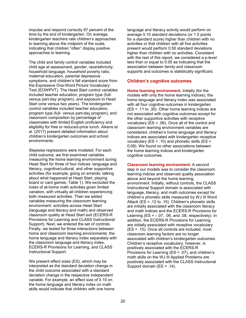impulse and respond correctly 87 percent of the time by the end of kindergarten. On average, kindergarten teachers rate children's approaches to learning above the midpoint of the scale, indicating that children "often" display positive approaches to learning.

<span id="page-29-1"></span><span id="page-29-0"></span>The child and family control variables included child age at assessment, gender, race/ethnicity, household language, household poverty ratio, maternal education, parental depressive symptoms, and children's fall standard score from the Expressive One-Word Picture Vocabulary Test (EOWPVT). The Head Start control variables included teacher education, program type (fullversus part-day program), and exposure to Head Start (one versus two years). The kindergarten control variables included teacher education, program type (full- versus part-day program), and classroom composition by percentage of classmates with limited English proficiency and eligibility for free or reduced-price lunch. Aikens et al. (2017) present detailed information about children's kindergarten outcomes and school environments.

<span id="page-29-2"></span>Stepwise regressions were modeled. For each child outcome, we first examined variables measuring the home learning environment during Head Start for three of four indices: language and literacy, cognitive/cultural, and other supportive activities (for example, going on errands, talking about what happened at Head Start, playing board or card games; Table 1). We excluded the index of at-home math activities given limited variation, with virtually all children experiencing both measured activities. Then we added variables measuring the classroom learning environment: activities across Head Start (language and literacy and math) and observed classroom quality at Head Start exit (ECERS-R Provisions for Learning and CLASS Instructional Support). Next, we entered the set of controls. Finally, we tested for three interactions between home and classroom learning environments: the home language and literacy index separately with the classroom language and literacy index, ECERS-R Provisions for Learning, and CLASS Instructional Support.

<span id="page-29-4"></span><span id="page-29-3"></span>We present effect sizes (ES), which may be interpreted as the standard deviation change in the child outcome associated with a standard deviation change in the respective independent variable. For example, an effect size of 0.10 on the home language and literacy index on math skills would indicate that children with one home language and literacy activity would perform on average 0.10 standard deviations (or 1.5 points for a standard score) higher than children with no activities or that children with all five activities present would perform 0.50 standard deviations higher than children with no activities. Consistent with the rest of this report, we considered a p-level less than or equal to 0.05 as indicating that the association between family and classroom supports and outcomes is statistically significant.

# **Children's cognitive outcomes**

**Home learning environment.** Initially (for the models with only the home learning indices), the home language and literacy index was associated with all four cognitive outcomes in kindergarten (ES = .11 to .30). Other home learning indices are not associated with cognitive outcomes except for the other supportive activities with receptive vocabulary (ES = .06). Once all of the control and classroom learning environment variables are considered, children's home language and literacy indices are associated with kindergarten receptive vocabulary ( $ES = .10$ ) and phonetic skills ( $ES =$ 0.09). We found no other associations between the home learning indices and kindergarten cognitive outcomes.

**Classroom learning environment.** A second step in our models was to consider the classroom learning indices and observed quality association above and beyond the home learning environment. Initially, without controls, the CLASS Instructional Support domain is associated with language, literacy, and math outcomes except for children's phonetic skills measured by WJ III Word Attack (ES = .12 to .15). Children's phonetic skills are initially associated with the classroom literacy and math indices and the ECERS-R Provisions for Learning  $(ES = -.07, .06, and .08, respectively).$  In addition, the ECERS-R Provisions for Learning are initially associated with receptive vocabulary (ES = .10). Once all controls are included, most classroom learning factors are no longer associated with children's kindergarten outcomes. Children's receptive vocabulary, however, is positively associated with the ECERS-R Provisions for Learning (ES = .07), and children's math skills on the WJ III Applied Problems are positively associated with the CLASS Instructional Support domain (ES = .14).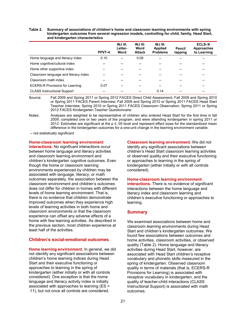#### **Table 2. Summary of associations of children's home and classroom learning environments with spring kindergarten outcomes from several regression models, controlling for child, family, Head Start, and kindergarten characteristics**

|                                        | PPVT-4 | WJ III:<br>Letter-<br>Word | WJ III:<br>Word<br><b>Attack</b> | WJ III:<br><b>Applied</b><br><b>Problems</b> | Pencil<br>tapping | ECLS-K<br><b>Approaches</b><br>to Learning |
|----------------------------------------|--------|----------------------------|----------------------------------|----------------------------------------------|-------------------|--------------------------------------------|
| Home language and literacy index       | 0.10   | --                         | 0.09                             |                                              |                   |                                            |
| Home cognitive/cultural index          |        |                            | --                               |                                              | --                |                                            |
| Home other supportive index            |        |                            | --                               | --                                           | --                |                                            |
| Classroom language and literacy index  |        |                            | --                               |                                              |                   |                                            |
| Classroom math index                   |        |                            | --                               | --                                           | --                | --                                         |
| <b>ECERS-R Provisions for Learning</b> | 0.07   |                            |                                  |                                              |                   |                                            |
| <b>CLASS Instructional Support</b>     |        |                            |                                  | 0.14                                         | --                | --                                         |

Source: Fall 2009 and Spring 2011 or Spring 2012 FACES Direct Child Assessment; Fall 2009 and Spring 2010 or Spring 2011 FACES Parent Interview; Fall 2009 and Spring 2010 or Spring 2011 FACES Head Start Teacher Interview; Spring 2010 or Spring 2011 FACES Classroom Observation; Spring 2011 or Spring 2012 FACES Kindergarten Teacher Questionnaire.

Notes: Analyses are weighted to be representative of children who entered Head Start for the first time in fall 2009, completed one or two years of the program, and were attending kindergarten in spring 2011 or 2012. Estimates are significant at the p ≤ .05 level and represent effect sizes for the standardized mean difference in the kindergarten outcomes for a one-unit change in the learning environment variable.

-- not statistically significant

**Home-classroom learning environment** 

**interactions.** No significant interactions occur between home language and literacy activities and classroom learning environment and children's kindergarten cognitive outcomes. Even though the home or classroom learning environments experienced by children may be associated with language, literacy, or math outcomes separately, the association between the classroom environment and children's outcomes does not differ for children in homes with different levels of home learning environment. That is, there is no evidence that children demonstrate improved outcomes when they experience high levels of learning activities in both home and classroom environments or that the classroom experience can offset any adverse effects of a home with few learning activities. As described in the previous section, most children experience at least half of the activities.

# **Children's social-emotional outcomes**

<span id="page-30-0"></span>**Home learning environment.** In general, we did not identify any significant associations between children's home learning indices during Head Start and their executive functioning or approaches to learning in the spring of kindergarten (either initially or with all controls considered). One exception is that the home language and literacy activity index is initially associated with approaches to learning (ES = .11), but not once all controls are considered.

**Classroom learning environment.** We did not identify any significant associations between children's Head Start classroom learning activities or observed quality and their executive functioning or approaches to learning in the spring of kindergarten (either initially or with all controls considered).

# **Home-classroom learning environment**

**interactions.** There is no evidence of significant interactions between the home language and literacy index and classroom learning and children's executive functioning or approaches to learning.

# **Summary**

We examined associations between home and classroom learning environments during Head Start and children's kindergarten outcomes. We found few associations between outcomes and home activities, classroom activities, or observed quality (Table 2). Home language and literacy activities during Head Start, however, are associated with Head Start children's receptive vocabulary and phonetic skills measured in the spring of kindergarten. Observed classroom quality in terms of materials (that is, ECERS-R Provisions for Learning) is associated with receptive vocabulary in kindergarten, and the quality of teacher-child interactions (CLASS Instructional Support) is associated with math outcomes.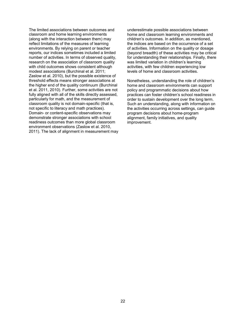The limited associations between outcomes and classroom and home learning environments (along with the interaction between them) may reflect limitations of the measures of learning environments. By relying on parent or teacher reports, our indices sometimes included a limited number of activities. In terms of observed quality, research on the association of classroom quality with child outcomes shows consistent although modest associations (Burchinal et al. 2011; Zaslow et al. 2010), but the possible existence of threshold effects means stronger associations at the higher end of the quality continuum (Burchinal et al. 2011, 2010). Further, some activities are not fully aligned with all of the skills directly assessed, particularly for math, and the measurement of classroom quality is not domain-specific (that is, not specific to literacy and math practices). Domain- or content-specific observations may demonstrate stronger associations with school readiness outcomes than more global classroom environment observations (Zaslow et al. 2010, 2011). The lack of alignment in measurement may underestimate possible associations between home and classroom learning environments and children's outcomes. In addition, as mentioned, the indices are based on the occurrence of a set of activities. Information on the quality or dosage (beyond breadth) of these activities may be critical for understanding their relationships. Finally, there was limited variation in children's learning activities, with few children experiencing low levels of home and classroom activities.

Nonetheless, understanding the role of children's home and classroom environments can support policy and programmatic decisions about how practices can foster children's school readiness in order to sustain development over the long term. Such an understanding, along with information on the activities occurring across settings, can guide program decisions about home-program alignment, family initiatives, and quality improvement.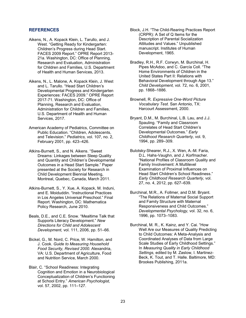## **REFERENCES**

- Aikens, N., A. Kopack Klein, L. Tarullo, and J. West. "Getting Ready for Kindergarten: Children's Progress during Head Start. FACES 2009 Report." OPRE Report 2013- 21a. Washington, DC: Office of Planning, Research and Evaluation, Administration for Children and Families, U.S. Department of Health and Human Services, 2013.
- Aikens, N., L. Malone, A. Kopack Klein, J. West and L. Tarullo. "Head Start Children's Developmental Progress and Kindergarten Experiences: FACES 2009." OPRE Report 2017-71. Washington, DC: Office of Planning, Research and Evaluation, Administration for Children and Families, U.S. Department of Health and Human Services, 2017.
- American Academy of Pediatrics, Committee on Public Education. "Children, Adolescents, and Television." *Pediatrics,* vol. 107, no. 2, February 2001, pp. 423–426.
- Atkins-Burnett, S., and N. Aikens. "Sweet Dreams: Linkages between Sleep Quality and Quantity and Children's Developmental Outcomes in a Head Start Sample." Paper presented at the Society for Research in Child Development Biennial Meeting, Montreal, Quebec, Canada, March 2011.
- Atkins-Burnett, S., Y. Xue, A. Kopack, M. Induni, and E. Moiduddin. "Instructional Practices in Los Angeles Universal Preschool." Final Report. Washington, DC: Mathematica Policy Research, June 2010.
- Beals, D.E., and C.E. Snow. "Mealtime Talk that Supports Literacy Development." *New Directions for Child and Adolescent Development,* vol. 111, 2006, pp. 51–66.
- Bickel, G., M. Nord, C. Price, W. Hamilton, and J. Cook. *Guide to Measuring Household Food Security, Revised 2000.* Alexandria, VA: U.S. Department of Agriculture, Food and Nutrition Service, March 2000.
- Blair, C. "School Readiness: Integrating Cognition and Emotion in a Neurobiological Conceptualization of Children's Functioning at School Entry." *American Psychologist,*  vol. 57, 2002, pp. 111–127.
- Block, J.H. "The Child-Rearing Practices Report (CRPR): A Set of Q Items for the Description of Parental Socialization Attitudes and Values." Unpublished manuscript. Institutes of Human Development, 1965.
- Bradley, R.H., R.F. Corwyn, M. Burchinal, H. Pipes McAdoo, and C. García Coll. "The Home Environments of Children in the United States Part II: Relations with Behavioral Development through Age 13." *Child Development,* vol. 72, no. 6, 2001, pp. 1868–1886.
- Brownell, R. *Expressive One-Word Picture Vocabulary Test.* San Antonio, TX: Harcourt Assessment, 2000.
- Bryant, D.M., M. Burchinal, L.B. Lau, and J.J. Spauling. "Family and Classroom Correlates of Head Start Children's Developmental Outcomes." *Early Childhood Research Quarterly,* vol. 9, 1994, pp. 289–309.
- Bulotsky-Shearer, R.J., X. Wen, A.-M. Faria, D.L. Hahs-Vaughn, and J. Korfmacher. "National Profiles of Classroom Quality and Family Involvement: A Multilevel Examination of Proximal Influences on Head Start Children's School Readiness." *Early Childhood Research Quarterly,* vol. 27, no. 4, 2012, pp. 627–639.
- Burchinal, M.R., A. Follmer, and D.M. Bryant. "The Relations of Maternal Social Support and Family Structure with Maternal Responsiveness and Child Outcomes." *Developmental Psychology,* vol. 32, no. 6, 1996, pp. 1073–1083.
- Burchinal, M. R., K. Kainz, and Y. Cai. "How Well Are our Measures of Quality Predicting to Child Outcomes: A Meta-Analysis and Coordinated Analyses of Data from Large Scale Studies of Early Childhood Settings." In *Measuring Quality in Early Childhood Settings,* edited by M. Zaslow, I. Martinez-Beck, K. Tout, and T. Halle. Baltimore, MD: Brookes Publishing, 2011a.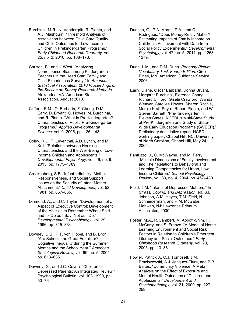Burchinal, M.R., N. Vandergrift, R. Pianta, and A.J. Mashburn. "Threshold Analysis of Association between Child Care Quality and Child Outcomes for Low-Income Children in Prekindergarten Programs." *Early Childhood Research Quarterly,* vol. 25, no. 2, 2010, pp. 166–176.

<span id="page-33-0"></span>Carlson, B., and J. West. "Analyzing Nonresponse Bias among Kindergarten Teachers in the Head Start Family and Child Experiences Survey." In *American Statistical Association, 2010 Proceedings of the Section on Survey Research Methods.* Alexandria, VA: American Statistical Association, August 2010.

Clifford, R.M., O. Barbarin, F. Chang, D.M. Early, D. Bryant, C. Howes, M. Burchinal, and R. Pianta. "What Is Pre-Kindergarten? Characteristics of Public Pre-Kindergarten Programs." *Applied Developmental Science,* vol. 9, 2005, pp. 126–143.

Coley, R.L., T. Leventhal, A.D. Lynch, and M. Kull. "Relations between Housing Characteristics and the Well-Being of Low-Income Children and Adolescents." *Developmental Psychology,* vol. 49, no. 9, 2013, pp. 1775–1789.

Crockenberg, S.B. "Infant Irritability, Mother Responsiveness, and Social Support Issues on the Security of Infant Mother Attachment." *Child Development,* vol. 52, 1981, pp. 857–865.

Diamond, A., and C. Taylor. "Development of an Aspect of Executive Control: Development of the Abilities to Remember What I Said and to 'Do as I Say, Not as I Do.'" *Developmental Psychobiology,* vol. 29, 1996, pp. 315–334.

Downey, D.B., P.T. von Hippel, and B. Broh. "Are Schools the Great Equalizer? Cognitive Inequality during the Summer Months and the School Year." *American Sociological Review,* vol. 69, no. 5, 2004, pp. 613–635.

Downey, G., and J.C. Coyne. "Children of Depressed Parents: An Integrated Review." Psychological Bulletin, vol. 108, 1990, pp. 50–76.

Duncan, G., P.A. Morris, P.A., and C. Rodrigues. "Does Money Really Matter? Estimating Impacts of Family Income on Children's Achievement with Data from Social Policy Experiments." *Developmental Psychology,* vol. 47, no. 5, 2011, pp. 1263– 1279.

Dunn, L.M., and D.M. Dunn. *Peabody Picture Vocabulary Test. Fourth Edition.* Circle Pines, MN: American Guidance Service, 2006.

Early, Diane, Oscar Barbarin, Donna Bryant, Margaret Burchinal, Florence Chang, Richard Clifford, Gisele Crawford, Wanda Weaver, Carollee Howes, Sharon Ritchie, Marcia Kraft-Sayre, Robert Pianta, and W. Steven Barnett. "Pre-Kindergarten in Eleven States: NCEDL's Multi-State Study of Pre-Kindergarten and Study of State-Wide Early Education Programs (SWEEP)." Preliminary descriptive report. NCEDL working paper. Chapel Hill, NC: University of North Carolina, Chapel Hill, May 24, 2005.

Fantuzzo, J., C. McWayne, and M. Perry. "Multiple Dimensions of Family Involvement and Their Relations to Behavioral and Learning Competencies for Urban, Low-Income Children." *School Psychology Review,* vol. 33, no. 4, 2004, pp. 467–480.

Field, T.M. "Infants of Depressed Mothers." In *Stress, Coping, and Depression,* ed. S.L. Johnson, A.M. Hayes, T.M. Field, N. Schneiderman, and P.M. McGabe. Mahwah, NJ: Lawrence Erlbaum Associates, 2000.

Foster, M.A., R. Lambert, M. Abbott-Shim, F. McCarty, and S. Franze. "A Model of Home Learning Environment and Social Risk Factors in Relation to Children's Emergent Literacy and Social Outcomes." *Early Childhood Research Quarterly,* vol. 20, 2005, pp. 13–36.

Fowler, Patrick J., C.J. Tompsett, J.M. Braciszewski, A.J. Jacques-Tiura, and B.B. Baltes. "Community Violence: A Meta Analysis on the Effect of Exposure and Mental Health Outcomes of Children and Adolescents." *Development and Psychopathology,* vol. 21, 2009, pp. 227– 259.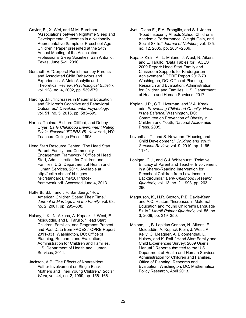Gaylor, E., X. Wei, and M.M. Burnham. "Associations between Nighttime Sleep and Developmental Outcomes in a Nationally Representative Sample of Preschool-Age Children." Paper presented at the 24th Annual Meeting of the Associated Professional Sleep Societies, San Antonio, Texas, June 5–9, 2010.

Gershoff, E. "Corporal Punishment by Parents and Associated Child Behaviors and Experiences: A Meta-Analytic and Theoretical Review. *Psychological Bulletin,* vol. 128, no. 4, 2002, pp. 539-579.

<span id="page-34-0"></span>Harding, J.F. "Increases in Maternal Education and Children's Cognitive and Behavioral Outcomes." *Developmental Psychology,* vol. 51, no. 5, 2015, pp. 583–599.

Harms, Thelma, Richard Clifford, and Debby Cryer. *Early Childhood Environment Rating Scale–Revised (ECERS-R).* New York, NY: Teachers College Press, 1998.

Head Start Resource Center. "The Head Start Parent, Family, and Community Engagement Framework." Office of Head Start, Administration for Children and Families, U.S. Department of Health and Human Services, 2011. Available at http://eclkc.ohs.acf.hhs.gov/ hslc/standards/ims/2011/pfceframework.pdf. Accessed June 4, 2013.

Hofferth, S.L., and J.F. Sandberg. "How American Children Spend Their Time." *Journal of Marriage and the Family,* vol. 63, no. 2, 2001, pp. 295–308.

<span id="page-34-1"></span>Hulsey, L.K., N. Aikens, A. Kopack, J. West, E. Moiduddin, and L. Tarullo. "Head Start Children, Families, and Programs: Present and Past Data from FACES." OPRE Report 2011-33a. Washington, DC: Office of Planning, Research and Evaluation, Administration for Children and Families, U.S. Department of Health and Human Services, 2011.

Jackson, A.P. "The Effects of Nonresident Father Involvement on Single Black Mothers and Their Young Children." *Social Work,* vol. 44, no. 2, 1999, pp. 156–166.

Jyoti, Diana F., E.A. Frongillo, and S.J. Jones. "Food Insecurity Affects School Children's Academic Performance, Weight Gain, and Social Skills." *Journal of Nutrition,* vol. 135, no. 12, 2005, pp. 2831–2839.

Kopack Klein, A., L. Malone, J. West, N. Aikens, and L. Tarullo. "Data Tables for FACES 2009 Report: Head Start Family and Classroom Supports for Kindergarten Achievement." OPRE Report 2017-70. Washington, DC: Office of Planning, Research and Evaluation, Administration for Children and Families, U.S. Department of Health and Human Services, 2017.

Koplan, J.P., C.T. Liverman, and V.A. Kraak, eds. *Preventing Childhood Obesity: Health in the Balance.* Washington, DC: Committee on Prevention of Obesity in Children and Youth, National Academies Press, 2005.

Leventhal, T., and S. Newman. "Housing and Child Development." *Children and Youth Services Review,* vol. 9, 2010, pp. 1165– 1174.

Lonigan, C.J., and G.J. Whitehurst. "Relative Efficacy of Parent and Teacher Involvement in a Shared-Reading Intervention for Preschool Children from Low-Income Backgrounds." *Early Childhood Research Quarterly,* vol. 13, no. 2, 1998, pp. 263– 290.

Magnuson, K., H.R. Sexton, P.E. Davis-Kean, and A.C. Huston. "Increases in Maternal Education and Young Children's Language Skills." *Merrill-Palmer Quarterly,* vol. 55, no. 3, 2009, pp. 319–350.

Malone, L., B. Lepidus Carlson, N. Aikens, E. Moiduddin, A. Kopack Klein, J. West, A. Kelly, C. Meagher, A. Bloomenthal, L. Hulsey, and K. Rall. "Head Start Family and Child Experiences Survey: 2009 User's Manual." Report submitted to the U.S. Department of Health and Human Services, Administration for Children and Families, Office of Planning, Research and Evaluation. Washington, DC: Mathematica Policy Research, April 2013.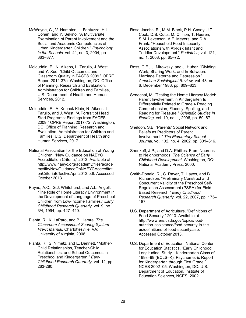- McWayne, C., V. Hampton, J. Fantuzzo, H.L. Cohen, and Y. Sekino. "A Multivariate Examination of Parent Involvement and the Social and Academic Competencies of Urban Kindergarten Children." *Psychology in the Schools,* vol. 41, no. 3, 2004, pp. 363–377.
- Moiduddin, E., N. Aikens, L. Tarullo, J. West, and Y. Xue. "Child Outcomes and Classroom Quality in FACES 2009." OPRE Report 2012-37a. Washington, DC: Office of Planning, Research and Evaluation, Administration for Children and Families, U.S. Department of Health and Human Services, 2012.
- Moiduddin, E., A. Kopack Klein, N. Aikens, L. Tarullo, and J. West. "A Portrait of Head Start Programs: Findings from FACES 2009." OPRE Report 2017-72. Washington, DC: Office of Planning, Research and Evaluation, Administration for Children and Families, U.S. Department of Health and Human Services, 2017.
- National Association for the Education of Young Children. "New Guidance on NAEYC Accreditation Criteria," 2013. Available at http://www.naeyc.org/academy/files/acade my/file/NewGuidanceOnNAEYCAccreditati onCriteriaEffectiveApril2013.pdf. Accessed October 2013.
- Payne, A.C., G.J. Whitehurst, and A.L. Angell. "The Role of Home Literacy Environment in the Development of Language of Preschool Children from Low-Income Families." *Early Childhood Research Quarterly,* vol. 9, no. 3/4, 1994, pp. 427–440.
- <span id="page-35-0"></span>Pianta, R., K. LaParo, and B. Hamre. *The Classroom Assessment Scoring System Pre-K Manual.* Charlottesville, VA: University of Virginia, 2008.
- Pianta, R., S. Nimetz, and E. Bennett. "Mother-Child Relationships, Teacher-Child Relationships, and School Outcomes in Preschool and Kindergarten." *Early Childhood Research Quarterly,* vol. 12, pp. 263-280.
- Rose-Jacobs, R., M.M. Black, P.H. Casey, J.T. Cook, D.B. Cutts, M. Chilton, T. Heeren, S.M. Levenson, A.F. Meyers, and D.A. Frank. "Household Food Insecurity: Associations with At-Risk Infant and Toddler Development." *Pediatrics,* vol. 121, no. 1, 2008, pp. 65–72.
- Ross, C.E., J. Mirowsky, and J. Huber. "Dividing Work, Sharing Work, and In-Between: Marriage Patterns and Depression." *American Sociological Review,* vol. 48, no. 6, December 1983, pp. 809–823.
- Senechal, M. "Testing the Home Literacy Model: Parent Involvement in Kindergarten Is Differentially Related to Grade 4 Reading Comprehension, Fluency, Spelling, and Reading for Pleasure." *Scientific Studies in Reading,* vol. 10, no. 1, 2006, pp. 59–87.
- Sheldon, S.B. "Parents' Social Network and Beliefs as Predictors of Parent Involvement." *The Elementary School Journal,* vol. 102, no. 4, 2002, pp. 301–316.
- Shonkoff, J.P., and D.A. Phillips. From Neurons to Neighborhoods: *The Science of Early Childhood Development.* Washington, DC: National Academy Press, 2000.
- Smith-Donald, R., C. Raver, T. Hayes, and B. Richardson. "Preliminary Construct and Concurrent Validity of the Preschool Self-Regulation Assessment (PSRA) for Field-Based Research." *Early Childhood Research Quarterly,* vol. 22, 2007, pp. 173– 187.
- U.S. Department of Agriculture. "Definitions of Food Security," 2013. Available at http://www.ers.usda.gov/topics/foodnutrition-assistance/food-security-in-theus/definitions-of-food-security.asp. Accessed October 2013.
- U.S. Department of Education, National Center for Education Statistics. "Early Childhood Longitudinal Study—Kindergarten Class of 1998–99 (ECLS–K), Psychometric Report for Kindergarten through First Grade." NCES 2002–05. Washington, DC: U.S. Department of Education, Institute of Education Sciences, NCES, 2002.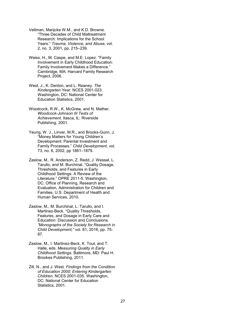- Veltman, Marijcke W.M., and K.D. Browne. "Three Decades of Child Maltreatment Research: Implications for the School Years." *Trauma, Violence, and Abuse,* vol. 2, no. 3, 2001, pp. 215–239.
- Weiss, H., M. Caspe, and M.E. Lopez. "Family Involvement in Early Childhood Education: Family Involvement Makes a Difference." Cambridge, MA: Harvard Family Research Project, 2006.
- West, J., K. Denton, and L. Reaney. *The Kindergarten Year.* NCES 2001-023. Washington, DC: National Center for Education Statistics, 2001.
- Woodcock, R.W., K. McGrew, and N. Mather. *Woodcock-Johnson III Tests of Achievement.* Itasca, IL: Riverside Publishing, 2001.
- Yeung, W. J., Linver, M.R., and Brooks-Gunn, J. "Money Matters for Young Children's Development: Parental Investment and Family Processes." *Child Development,* vol. 73, no. 6, 2002, pp 1861–1879.
- Zaslow, M., R. Anderson, Z. Redd, J. Wessel, L. Tarullo, and M. Burchinal. "Quality Dosage, Thresholds, and Features in Early Childhood Settings: A Review of the Literature." OPRE 2011-5. Washington, DC: Office of Planning, Research and Evaluation, Administration for Children and Families, U.S. Department of Health and Human Services, 2010.
- Zaslow, M., M. Burchinal, L. Tarullo, and I. Martinez-Beck. "Quality Thresholds, Features, and Dosage in Early Care and Education: Discussion and Conclusions. *"Monographs of the Society for Research in Child Development,"* vol. 81, 2016, pp. 75- 87.
- Zaslow, M., I. Martinez-Beck, K. Tout, and T. Halle, eds. *Measuring Quality in Early Childhood Settings.* Baltimore, MD: Paul H. Brookes Publishing, 2011.
- Zill, N., and J. West. *Findings from the Condition of Education 2000: Entering Kindergarten Children.* NCES 2001-035. Washington, DC: National Center for Education Statistics, 2001.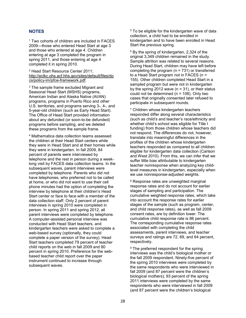## **NOTES**

<sup>1</sup> Two cohorts of children are included in FACES 2009—those who entered Head Start at age 3 and those who entered at age 4. Children entering at age 3 completed the program in spring 2011, and those entering at age 4 completed it in spring 2010.

<sup>2</sup> Head Start Resource Center 2011; [http://eclkc.ohs.acf.hhs.gov/sites/default/files/do](http://eclkc.ohs.acf.hhs.gov/sites/default/files/docs/policy-im/pfce-framework.pdf) [cs/policy-im/pfce-framework.pdf.](http://eclkc.ohs.acf.hhs.gov/sites/default/files/docs/policy-im/pfce-framework.pdf)

<sup>3</sup> The sample frame excluded Migrant and Seasonal Head Start (MSHS) programs, American Indian and Alaska Native (AI/AN) programs, programs in Puerto Rico and other U.S. territories, and programs serving 3-, 4-, and 5-year-old children (such as Early Head Start). The Office of Head Start provided information about any defunded (or soon-to-be defunded) programs before sampling, and we deleted these programs from the sample frame.

<sup>4</sup> Mathematica data collection teams assessed the children at their Head Start centers while they were in Head Start and at their homes while they were in kindergarten. In fall 2009, 84 percent of parents were interviewed by telephone and the rest in person during a weeklong visit by FACES data collection teams. In the subsequent waves, parent interviews were completed by telephone. Parents who did not have telephones, who preferred not to be called at home, or who did not want to use their cell phone minutes had the option of completing the interview by telephone at their children's Head Start center or face to face with a member of the data collection staff. Only 2 percent of parent interviews in spring 2010 were completed in person. In spring 2011 and spring 2012, all parent interviews were completed by telephone. A computer-assisted personal interview was conducted with Head Start teachers, and kindergarten teachers were asked to complete a web-based survey (optionally, they could complete a paper version of the survey). Head Start teachers completed 79 percent of teacher child reports on the web in fall 2009 and 80 percent in spring 2010. Preference for the webbased teacher child report over the paper instrument continued to increase through subsequent waves.

<sup>5</sup> To be eligible for the kindergarten wave of data collection, a child had to be enrolled in kindergarten and to have been enrolled in Head Start the previous spring.

<sup>6</sup> By the spring of kindergarten, 2,324 of the original 3,349 children remained in the study. Sample attrition was related to several reasons. During Head Start, children may have left before completing the program  $(n = 731)$  or transferred to a Head Start program not in FACES (n = 155). Other children completed Head Start in a sampled program but were not in kindergarten by the spring 2012 wave  $(n = 31)$ , or their status could not be determined ( $n = 106$ ). Only two cases that originally consented later refused to participate in subsequent rounds.

<sup>7</sup> Children whose kindergarten teachers responded differ along several characteristics (such as child's and teacher's race/ethnicity and whether child's school was eligible for Title I funding) from those children whose teachers did not respond. The differences do not, however, translate into meaningful differences in the profiles of the children whose kindergarten teachers responded as compared to all children eligible for kindergarten data collection (Carlson and West 2010). From this, we can infer that we suffer little bias attributable to kindergarten teacher nonresponse when analyzing key childlevel measures in kindergarten, especially when we use nonresponse-adjusted weights.

<sup>8</sup> Response rates are unweighted marginal response rates and do not account for earlier stages of sampling and participation. The cumulative weighted response rates, which take into account the response rates for earlier stages of the sample (such as program, center, and child response rates), as well as fall 2009 consent rates, are by definition lower. The cumulative child response rate is 86 percent. The corresponding cumulative response rates associated with completing the child assessments, parent interviews, and teacher surveys and ratings are 72, 69, and 64 percent, respectively.

<sup>9</sup> The preferred respondent for the spring interviews was the child's biological mother or the fall 2009 respondent. Ninety-five percent of the spring 2010 interviews were completed by the same respondents who were interviewed in fall 2009 (and 87 percent were the children's biological mothers); 93 percent of the spring 2011 interviews were completed by the same respondents who were interviewed in fall 2009 (and 87 percent were the children's biological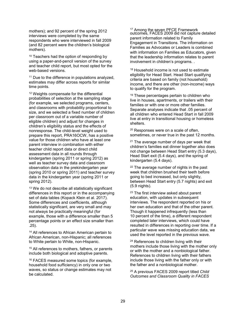mothers); and 92 percent of the spring 2012 interviews were completed by the same respondents who were interviewed in fall 2009 (and 82 percent were the children's biological mothers).

<sup>10</sup> Teachers had the option of responding by using a paper-and-pencil version of the survey and teacher child report, but most opted for the web-based versions.

<sup>11</sup> Due to the difference in populations analyzed, estimates may differ across reports for similar time points.

<sup>12</sup> Weights compensate for the differential probabilities of selection at the sampling stage (for example, we selected programs, centers, and classrooms with probability proportional to size, and we selected a fixed number of children per classroom out of a variable number of eligible children) and adjust for changes in children's eligibility status and the effects of nonresponse. The child-level weight used to prepare this report, PRA16OCW, has a positive value for those children who have at least one parent interview in combination with either teacher child report data or direct child assessment data in all rounds through kindergarten (spring 2011 or spring 2012) as well as teacher survey data and classroom observation data in the prekindergarten year (spring 2010 or spring 2011) and teacher survey data in the kindergarten year (spring 2011 or spring 2012).

<sup>13</sup> We do not describe all statistically significant differences in this report or in the accompanying set of data tables (Kopack Klein et al. 2017). Some differences and coefficients, although statistically significant, are very small and may not always be practically meaningful (for example, those with a difference smaller than 5 percentage points or an effect size smaller than .25).

<sup>14</sup> All references to African American pertain to African American, non-Hispanic; all references to White pertain to White, non-Hispanic.

<sup>15</sup> All references to mothers, fathers, or parents include both biological and adoptive parents.

<sup>16</sup> FACES measured some topics (for example, household food sufficiency) in only one or two waves, so status or change estimates may not be calculated.

<sup>17</sup> Among the seven PFCE Framework outcomes, FACES 2009 did not capture detailed parent information related to Family Engagement in Transitions. The information on Families as Advocates or Leaders is combined with information on Families as Educators, given that the leadership information relates to parent involvement in children's programs. .

<sup>18</sup> Household income is not used to estimate [eligibility for Head Start. Head Start q](http://eclkc.ohs.acf.hhs.gov/hslc/tta-system/family/center/rtp-series.html)ualifying criteria are based on family (not household) income, and there are other (non-income) ways to qualify for the program.

<sup>19</sup> These percentages pertain to children who live in houses, apartments, or trailers with their families or with one or more other families. Separate analyses indicate that .05 percent of all children who entered Head Start in fall 2009 live at entry in transitional housing or homeless shelters.

<sup>20</sup> Responses were on a scale of often, sometimes, or never true in the past 12 months.

 $21$  The average number of days per week that children's families eat dinner together also does not change between Head Start entry (5.3 days), Head Start exit (5.4 days), and the spring of kindergarten (5.4 days).

<sup>22</sup> The average number of nights in the past week that children brushed their teeth before going to bed increased, but only slightly, between Head Start entry (5.7 nights) and exit (5.9 nights).

<sup>23</sup> The first interview asked about parent education, with updates in subsequent interviews. The respondent reported on his or her own education and that of the other parent. Though it happened infrequently (less than 10 percent of the time), a different respondent completed later interviews, which could have resulted in differences in reporting over time. If a particular wave was missing education data, we used the level reported in the previous wave.

<sup>24</sup> References to children living with their mothers include those living with the mother only or with the mother and a nonbiological father. References to children living with their fathers include those living with the father only or with the father and a nonbiological mother.

<sup>25</sup> A previous FACES 2009 report titled *Child Outcomes and Classroom Quality in FACES*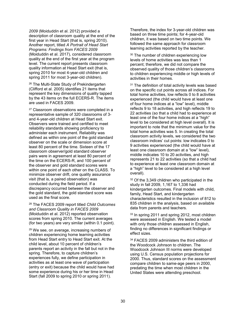*2009* (Moiduddin et al. 2012) provided a description of classroom quality at the end of the first year in Head Start (that is, spring 2010). Another report, titled *A Portrait of Head Start Programs: Findings from FACES 2009* (Moiduddin et al. 2017), considered classroom quality at the end of the first year at the program level. The current report presents classroom quality information at Head Start exit (that is, spring 2010 for most 4-year-old children and spring 2011 for most 3-year-old children).

<sup>26</sup> The Multi-State Study of Prekindergarten (Clifford et al. 2005) identifies 21 items that represent the key dimensions of quality tapped by the 43 items on the full ECERS-R. The items are used in FACES 2009.

<sup>27</sup> Classroom observations were completed in a representative sample of 320 classrooms of 3 and 4-year-old children at Head Start exit. Observers were trained and certified to meet reliability standards showing proficiency to administer each instrument. Reliability was defined as within one point of the gold standard observer on the scale or dimension score at least 80 percent of the time. Sixteen of the 17 classroom observer/gold standard observer pairs were in agreement at least 80 percent of the time on the ECERS-R, and 100 percent of the observer and gold standard scores were within one point of each other on the CLASS. To minimize observer drift, one quality assurance visit (that is, a paired observation) was conducted during the field period. If a discrepancy occurred between the observer and the gold standard, the gold standard score was used as the final score.

<sup>28</sup> The FACES 2009 report titled *Child Outcomes and Classroom Quality in FACES 2009* (Moiduddin et al. 2012) reported observation scores from spring 2010. The current averages (for two years) are very similar (within 0.1 point).

<sup>29</sup> We see, on average, increasing numbers of children experiencing home learning activities from Head Start entry to Head Start exit. At the child level, about 10 percent of children's parents report an activity in the fall but not in the spring. Therefore, to capture children's experiences fully, we define participation in activities as at least one wave of participation (entry or exit) because the child would have had some experience during his or her time in Head Start (fall 2009 to spring 2010 or spring 2011).

Therefore, the index for 3-year-old children was based on three time points; for 4-year-old children, it was based on two time points. We followed the same approach for classroom learning activities reported by the teacher.

<sup>30</sup> The number of children experiencing low levels of home activities was less than 1 percent; therefore, we did not compare the observed quality of those children's classrooms to children experiencing middle or high levels of activities in their homes.

<sup>31</sup> The definition of total activity levels was based on the specific cut points across all indices. For total home activities, low reflects 0 to 8 activities experienced (the child would have at least one of four home indices at a "low" level), middle reflects 9 to 18 activities, and high reflects 19 to 22 activities (so that a child had to experience at least one of the four home indices at a "high" level to be considered at high level overall). It is important to note that the minimum value for the total home activities was 5. In creating the total classroom activity levels, we considered the two classroom indices' cut points: low indicates 0 to 9 activities experienced (the child would have at least one classroom domain at a "low" level), middle indicates 10 to 20 activities, and high represents 21 to 22 activities (so that a child had to experience at least one classroom domain at a "high" level to be considered at a high level overall).

<sup>32</sup> Of the 3.349 children who participated in the study in fall 2009, 1,167 to 1,336 had kindergarten outcomes. Final models with child, family, Head Start, and kindergarten characteristics resulted in the inclusion of 812 to 835 children in the analysis, based on available data from parents and teachers.

<sup>33</sup> In spring 2011 and spring 2012, most children were assessed in English. We tested a model with only those children assessed in English, finding no differences in significant findings or effect sizes.

<sup>34</sup> FACES 2009 administers the third edition of the Woodcock Johnson to children. The Woodcock Johnson III norms were developed using U.S. Census population projections for 2000. Thus, standard scores on the assessment compare children to same-age peers in 2000, predating the time when most children in the United States were attending preschool.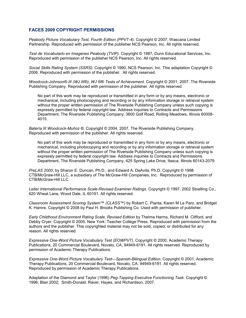## **FACES 2009 COPYRIGHT PERMISSIONS**

*Peabody Picture Vocabulary Test, Fourth Edition (PPVT-4).* Copyright © 2007, Wascana Limited Partnership. Reproduced with permission of the publisher NCS Pearson, Inc. All rights reserved.

*Test de Vocabulario en Imagenes Peabody (TVIP).* Copyright © 1987, Dunn Educational Services, Inc. Reproduced with permission of the publisher NCS Pearson, Inc. All rights reserved.

*Social Skills Rating System (SSRS).* Copyright © 1990, NCS Pearson, Inc. This adaptation Copyright © 2006. Reproduced with permission of the publisher. All rights reserved.

*Woodcock-Johnson® III (WJ III®)*, *WJ III*® *Tests of Achievement.* Copyright © 2001, 2007, The Riverside Publishing Company. Reproduced with permission of the publisher. All rights reserved.

No part of this work may be reproduced or transmitted in any form or by any means, electronic or mechanical, including photocopying and recording or by any information storage or retrieval system without the proper written permission of The Riverside Publishing Company unless such copying is expressly permitted by federal copyright law. Address inquiries to Contracts and Permissions Department, The Riverside Publishing Company, 3800 Golf Road, Rolling Meadows, Illinois 60008- 4015.

*Batería III Woodcock-Muñoz ®.* Copyright © 2004, 2007, The Riverside Publishing Company. Reproduced with permission of the publisher. All rights reserved.

No part of this work may be reproduced or transmitted in any form or by any means, electronic or mechanical, including photocopying and recording or by any information storage or retrieval system without the proper written permission of The Riverside Publishing Company unless such copying is expressly permitted by federal copyright law. Address inquiries to Contracts and Permissions Department, The Riverside Publishing Company, 425 Spring Lake Drive, Itasca, Illinois 60143-2079.

*PreLAS 2000*, by Sharon E. Duncan, Ph.D., and Edward A. DeAvila, Ph.D. Copyright © 1998 CTB/McGraw-Hill LLC, a subsidiary of The McGraw-Hill Companies, Inc. Reproduced by permission of CTB/McGraw-Hill LLC.

*Leiter International Performance Scale-Revised Examiner Ratings.* Copyright © 1997, 2002 Stoelting Co., 620 Wheat Lane, Wood Dale, IL 60191. All rights reserved.

*Classroom Assessment Scoring System*™ *(CLASS™)* by Robert C. Pianta, Karen M La Paro, and Bridget K. Hamre. Copyright © 2008 by Paul H. Brooks Publishing Co. Used with permission of publisher.

*Early Childhood Environment Rating Scale, Revised Edition* by Thelma Harms, Richard M. Clifford, and Debby Cryer. Copyright © 2005. New York: Teacher College Press. Reproduced with permission from the authors and the publisher. This copyrighted material may not be sold, copied, or distributed for any reason. All rights reserved.

*Expressive One-Word Picture Vocabulary Test (EOWPVT)*. Copyright © 2000, Academic Therapy Publications, 20 Commercial Boulevard, Novato, CA, 94949-6191. All rights reserved. Reproduced by permission of Academic Therapy Publications.

*Expressive One-Word Picture Vocabulary Test—Spanish-Bilingual Edition*. Copyright © 2001, Academic Therapy Publications, 20 Commercial Boulevard, Novato, CA, 94949-6191. All rights reserved. Reproduced by permission of Academic Therapy Publications.

Adaptation of the Diamond and Taylor (1996) *Peg-Tapping Executive Functioning Task*. Copyright © 1996; Blair 2002; Smith-Donald, Raver, Hayes, and Richardson, 2007.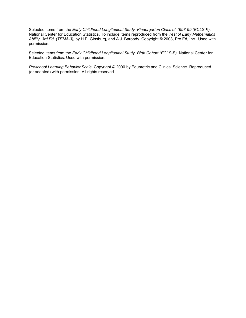Selected items from the *Early Childhood Longitudinal Study, Kindergarten Class of 1998-99 (ECLS-K)*, National Center for Education Statistics. To include items reproduced from the *Test of Early Mathematics Ability, 3rd Ed. (TEMA-3),* by H.P. Ginsburg, and A.J. Baroody. Copyright © 2003, Pro Ed, Inc. Used with permission.

Selected items from the *Early Childhood Longitudinal Study, Birth Cohort (ECLS-B),* National Center for Education Statistics. Used with permission.

*Preschool Learning Behavior Scale*. Copyright © 2000 by Edumetric and Clinical Science. Reproduced (or adapted) with permission. All rights reserved.